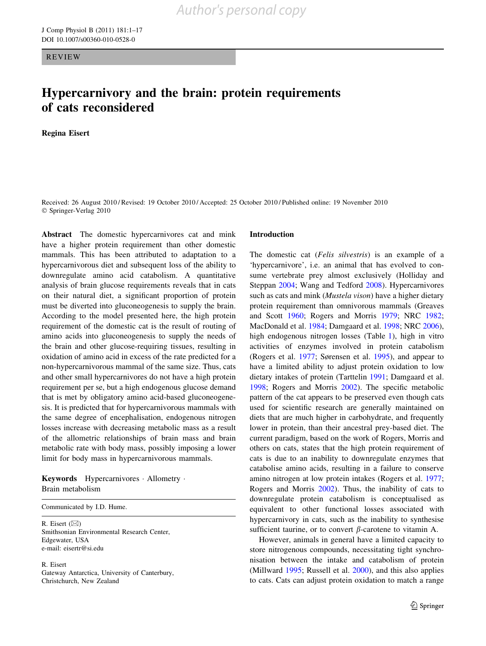REVIEW

# Hypercarnivory and the brain: protein requirements of cats reconsidered

Regina Eisert

Received: 26 August 2010 / Revised: 19 October 2010 / Accepted: 25 October 2010 / Published online: 19 November 2010 © Springer-Verlag 2010

Abstract The domestic hypercarnivores cat and mink have a higher protein requirement than other domestic mammals. This has been attributed to adaptation to a hypercarnivorous diet and subsequent loss of the ability to downregulate amino acid catabolism. A quantitative analysis of brain glucose requirements reveals that in cats on their natural diet, a significant proportion of protein must be diverted into gluconeogenesis to supply the brain. According to the model presented here, the high protein requirement of the domestic cat is the result of routing of amino acids into gluconeogenesis to supply the needs of the brain and other glucose-requiring tissues, resulting in oxidation of amino acid in excess of the rate predicted for a non-hypercarnivorous mammal of the same size. Thus, cats and other small hypercarnivores do not have a high protein requirement per se, but a high endogenous glucose demand that is met by obligatory amino acid-based gluconeogenesis. It is predicted that for hypercarnivorous mammals with the same degree of encephalisation, endogenous nitrogen losses increase with decreasing metabolic mass as a result of the allometric relationships of brain mass and brain metabolic rate with body mass, possibly imposing a lower limit for body mass in hypercarnivorous mammals.

Keywords Hypercarnivores - Allometry - Brain metabolism

Communicated by I.D. Hume.

R. Eisert  $(\boxtimes)$ Smithsonian Environmental Research Center, Edgewater, USA e-mail: eisertr@si.edu

R. Eisert Gateway Antarctica, University of Canterbury, Christchurch, New Zealand

## Introduction

The domestic cat (Felis silvestris) is an example of a 'hypercarnivore', i.e. an animal that has evolved to consume vertebrate prey almost exclusively (Holliday and Steppan [2004;](#page-14-0) Wang and Tedford [2008](#page-16-0)). Hypercarnivores such as cats and mink (*Mustela vison*) have a higher dietary protein requirement than omnivorous mammals (Greaves and Scott [1960](#page-13-0); Rogers and Morris [1979](#page-15-0); NRC [1982](#page-15-0); MacDonald et al. [1984](#page-15-0); Damgaard et al. [1998;](#page-13-0) NRC [2006](#page-15-0)), high endogenous nitrogen losses (Table [1\)](#page-1-0), high in vitro activities of enzymes involved in protein catabolism (Rogers et al. [1977](#page-15-0); Sørensen et al. [1995\)](#page-16-0), and appear to have a limited ability to adjust protein oxidation to low dietary intakes of protein (Tarttelin [1991](#page-16-0); Damgaard et al. [1998](#page-13-0); Rogers and Morris [2002](#page-15-0)). The specific metabolic pattern of the cat appears to be preserved even though cats used for scientific research are generally maintained on diets that are much higher in carbohydrate, and frequently lower in protein, than their ancestral prey-based diet. The current paradigm, based on the work of Rogers, Morris and others on cats, states that the high protein requirement of cats is due to an inability to downregulate enzymes that catabolise amino acids, resulting in a failure to conserve amino nitrogen at low protein intakes (Rogers et al. [1977](#page-15-0); Rogers and Morris [2002](#page-15-0)). Thus, the inability of cats to downregulate protein catabolism is conceptualised as equivalent to other functional losses associated with hypercarnivory in cats, such as the inability to synthesise sufficient taurine, or to convert  $\beta$ -carotene to vitamin A.

However, animals in general have a limited capacity to store nitrogenous compounds, necessitating tight synchronisation between the intake and catabolism of protein (Millward [1995;](#page-15-0) Russell et al. [2000](#page-15-0)), and this also applies to cats. Cats can adjust protein oxidation to match a range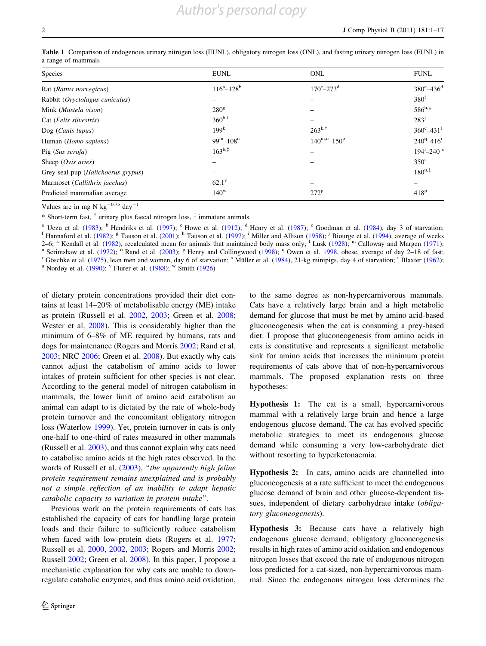| Species                            | <b>EUNL</b>                 | <b>ONL</b>                    | <b>FUNL</b>                           |
|------------------------------------|-----------------------------|-------------------------------|---------------------------------------|
| Rat (Rattus norvegicus)            | $116^{\rm a} - 128^{\rm b}$ | $170^{\circ} - 273^{\circ}$   | $380^{\circ} - 436^{\circ}$           |
| Rabbit (Oryctolagus cuniculus)     |                             |                               | 380 <sup>f</sup>                      |
| Mink ( <i>Mustela vison</i> )      | 280 <sup>g</sup>            |                               | $586^{h,*}$                           |
| Cat (Felis silvestris)             | $360^{b,i}$                 |                               | $283^{\mathrm{j}}$                    |
| Dog (Canis lupus)                  | 199 <sup>k</sup>            | $263^{k,*}$                   | $360^{\circ} - 431^{\circ}$           |
| Human (Homo sapiens)               | $99^{\rm m} - 108^{\rm n}$  | $140^{\rm m,o} - 150^{\rm p}$ | $240^{\circ} - 416^{\circ}$           |
| Pig (Sus scrofa)                   | $163^{b,*}$                 |                               | $194^{\mathrm{l}} - 240^{\mathrm{s}}$ |
| Sheep $(Ovis\;aries)$              |                             |                               | 350 <sup>t</sup>                      |
| Grey seal pup (Halichoerus grypus) |                             |                               | $180^{u,*}$                           |
| Marmoset (Callithrix jacchus)      | $62.1^{\circ}$              |                               |                                       |
| Predicted mammalian average        | 140 <sup>w</sup>            | $272^p$                       | 418 <sup>p</sup>                      |

<span id="page-1-0"></span>Table 1 Comparison of endogenous urinary nitrogen loss (EUNL), obligatory nitrogen loss (ONL), and fasting urinary nitrogen loss (FUNL) in a range of mammals

Values are in mg N kg<sup>-0.75</sup> day<sup>-1</sup>

\* Short-term fast, <sup>†</sup> urinary plus faecal nitrogen loss, <sup>‡</sup> immature animals

<sup>a</sup> Uezu et al. [\(1983](#page-16-0)); <sup>b</sup> Hendriks et al. ([1997\)](#page-14-0); <sup>c</sup> Howe et al. ([1912\)](#page-14-0); <sup>d</sup> Henry et al. ([1987\)](#page-14-0); <sup>e</sup> Goodman et al. [\(1984](#page-13-0)), day 3 of starvation; f Hannaford et al. [\(1982](#page-14-0)); <sup>g</sup> Tauson et al. [\(2001](#page-16-0)); <sup>h</sup> Tauson et al. ( 2–6;  $^k$  Kendall et al. [\(1982](#page-14-0)), recalculated mean for animals that maintained body mass only;  $^1$  Lusk [\(1928\)](#page-15-0);  $^m$  Calloway and Margen [\(1971](#page-13-0));  $^n$  Scrimshaw et al. ([1972\)](#page-16-0);  $^{\circ}$  Rand et al. [\(2003](#page-15-0));  $^p$  Henry and Col

of dietary protein concentrations provided their diet contains at least 14–20% of metabolisable energy (ME) intake as protein (Russell et al. [2002,](#page-15-0) [2003](#page-15-0); Green et al. [2008](#page-13-0); Wester et al. [2008](#page-16-0)). This is considerably higher than the minimum of 6–8% of ME required by humans, rats and dogs for maintenance (Rogers and Morris [2002;](#page-15-0) Rand et al. [2003;](#page-15-0) NRC [2006;](#page-15-0) Green et al. [2008\)](#page-13-0). But exactly why cats cannot adjust the catabolism of amino acids to lower intakes of protein sufficient for other species is not clear. According to the general model of nitrogen catabolism in mammals, the lower limit of amino acid catabolism an animal can adapt to is dictated by the rate of whole-body protein turnover and the concomitant obligatory nitrogen loss (Waterlow [1999](#page-16-0)). Yet, protein turnover in cats is only one-half to one-third of rates measured in other mammals (Russell et al. [2003\)](#page-15-0), and thus cannot explain why cats need to catabolise amino acids at the high rates observed. In the words of Russell et al. [\(2003](#page-15-0)), "the apparently high feline protein requirement remains unexplained and is probably not a simple reflection of an inability to adapt hepatic catabolic capacity to variation in protein intake''.

Previous work on the protein requirements of cats has established the capacity of cats for handling large protein loads and their failure to sufficiently reduce catabolism when faced with low-protein diets (Rogers et al. [1977](#page-15-0); Russell et al. [2000,](#page-15-0) [2002,](#page-15-0) [2003;](#page-15-0) Rogers and Morris [2002](#page-15-0); Russell [2002](#page-15-0); Green et al. [2008](#page-13-0)). In this paper, I propose a mechanistic explanation for why cats are unable to downregulate catabolic enzymes, and thus amino acid oxidation, to the same degree as non-hypercarnivorous mammals. Cats have a relatively large brain and a high metabolic demand for glucose that must be met by amino acid-based gluconeogenesis when the cat is consuming a prey-based diet. I propose that gluconeogenesis from amino acids in cats is constitutive and represents a significant metabolic sink for amino acids that increases the minimum protein requirements of cats above that of non-hypercarnivorous mammals. The proposed explanation rests on three hypotheses:

Hypothesis 1: The cat is a small, hypercarnivorous mammal with a relatively large brain and hence a large endogenous glucose demand. The cat has evolved specific metabolic strategies to meet its endogenous glucose demand while consuming a very low-carbohydrate diet without resorting to hyperketonaemia.

Hypothesis 2: In cats, amino acids are channelled into gluconeogenesis at a rate sufficient to meet the endogenous glucose demand of brain and other glucose-dependent tissues, independent of dietary carbohydrate intake (obligatory gluconeogenesis).

Hypothesis 3: Because cats have a relatively high endogenous glucose demand, obligatory gluconeogenesis results in high rates of amino acid oxidation and endogenous nitrogen losses that exceed the rate of endogenous nitrogen loss predicted for a cat-sized, non-hypercarnivorous mammal. Since the endogenous nitrogen loss determines the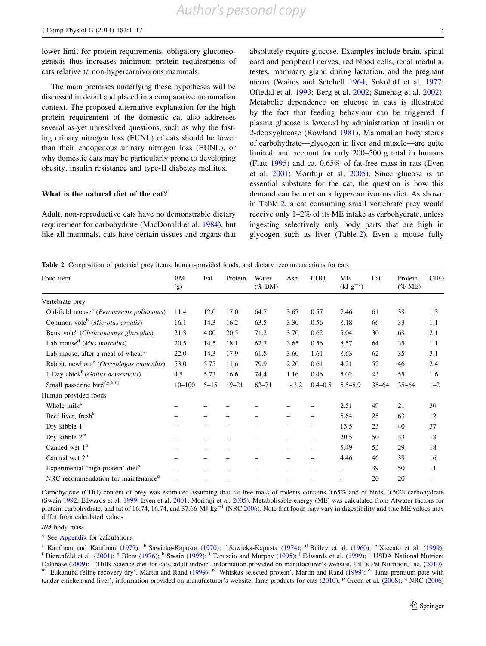<span id="page-2-0"></span>lower limit for protein requirements, obligatory gluconeogenesis thus increases minimum protein requirements of cats relative to non-hypercarnivorous mammals.

The main premises underlying these hypotheses will be discussed in detail and placed in a comparative mammalian context. The proposed alternative explanation for the high protein requirement of the domestic cat also addresses several as-yet unresolved questions, such as why the fasting urinary nitrogen loss (FUNL) of cats should be lower than their endogenous urinary nitrogen loss (EUNL), or why domestic cats may be particularly prone to developing obesity, insulin resistance and type-II diabetes mellitus.

# What is the natural diet of the cat?

Adult, non-reproductive cats have no demonstrable dietary requirement for carbohydrate (MacDonald et al. [1984\)](#page-15-0), but like all mammals, cats have certain tissues and organs that absolutely require glucose. Examples include brain, spinal cord and peripheral nerves, red blood cells, renal medulla, testes, mammary gland during lactation, and the pregnant uterus (Waites and Setchell [1964;](#page-16-0) Sokoloff et al. [1977](#page-16-0); Oftedal et al. [1993;](#page-15-0) Berg et al. [2002;](#page-12-0) Sunehag et al. [2002](#page-16-0)). Metabolic dependence on glucose in cats is illustrated by the fact that feeding behaviour can be triggered if plasma glucose is lowered by administration of insulin or 2-deoxyglucose (Rowland [1981\)](#page-15-0). Mammalian body stores of carbohydrate—glycogen in liver and muscle—are quite limited, and account for only 200–500 g total in humans (Flatt [1995\)](#page-13-0) and ca. 0.65% of fat-free mass in rats (Even et al. [2001;](#page-13-0) Morifuji et al. [2005](#page-15-0)). Since glucose is an essential substrate for the cat, the question is how this demand can be met on a hypercarnivorous diet. As shown in Table 2, a cat consuming small vertebrate prey would receive only 1–2% of its ME intake as carbohydrate, unless ingesting selectively only body parts that are high in glycogen such as liver (Table 2). Even a mouse fully

Table 2 Composition of potential prey items, human-provided foods, and dietary recommendations for cats

| Food item                                                     | BM<br>(g)  | Fat      | Protein   | Water<br>$(\%$ BM) | Ash        | <b>CHO</b>      | <b>ME</b><br>$(kJ g^{-1})$ | Fat       | Protein<br>$(\%$ ME) | <b>CHO</b> |
|---------------------------------------------------------------|------------|----------|-----------|--------------------|------------|-----------------|----------------------------|-----------|----------------------|------------|
| Vertebrate prey                                               |            |          |           |                    |            |                 |                            |           |                      |            |
| Old-field mouse <sup>a</sup> ( <i>Peromyscus polionotus</i> ) | 11.4       | 12.0     | 17.0      | 64.7               | 3.67       | 0.57            | 7.46                       | 61        | 38                   | 1.3        |
| Common vole <sup>b</sup> (Microtus arvalis)                   | 16.1       | 14.3     | 16.2      | 63.5               | 3.30       | 0.56            | 8.18                       | 66        | 33                   | 1.1        |
| Bank vole <sup>c</sup> ( <i>Clethrionomys glareolus</i> )     | 21.3       | 4.00     | 20.5      | 71.2               | 3.70       | 0.62            | 5.04                       | 30        | 68                   | 2.1        |
| Lab mouse <sup>d</sup> ( <i>Mus musculus</i> )                | 20.5       | 14.5     | 18.1      | 62.7               | 3.65       | 0.56            | 8.57                       | 64        | 35                   | 1.1        |
| Lab mouse, after a meal of wheat*                             | 22.0       | 14.3     | 17.9      | 61.8               | 3.60       | 1.61            | 8.63                       | 62        | 35                   | 3.1        |
| Rabbit, newborn <sup>e</sup> (Oryctolagus cuniculus)          | 53.0       | 5.75     | 11.6      | 79.9               | 2.20       | 0.61            | 4.21                       | 52        | 46                   | 2.4        |
| 1-Day chick <sup>f</sup> (Gallus domesticus)                  | 4.5        | 5.73     | 16.6      | 74.4               | 1.16       | 0.46            | 5.02                       | 43        | 55                   | 1.6        |
| Small passerine birdf,g,h,i,j                                 | $10 - 100$ | $5 - 15$ | $19 - 21$ | $63 - 71$          | $\sim$ 3.2 | $0.4 - 0.5$     | $5.5 - 8.9$                | $35 - 64$ | $35 - 64$            | $1 - 2$    |
| Human-provided foods                                          |            |          |           |                    |            |                 |                            |           |                      |            |
| Whole milk <sup>k</sup>                                       |            |          |           |                    |            |                 | 2.51                       | 49        | 21                   | 30         |
| Beef liver, fresh <sup>k</sup>                                |            |          |           |                    |            |                 | 5.64                       | 25        | 63                   | 12         |
| Dry kibble $11$                                               |            |          |           |                    |            |                 | 13.5                       | 23        | 40                   | 37         |
| Dry kibble $2^m$                                              |            | -        |           | -                  | -          | -               | 20.5                       | 50        | 33                   | 18         |
| Canned wet $1n$                                               |            |          |           |                    |            | -               | 5.49                       | 53        | 29                   | 18         |
| Canned wet 2 <sup>o</sup>                                     |            |          |           | -                  | -          | $\qquad \qquad$ | 4.46                       | 46        | 38                   | 16         |
| Experimental 'high-protein' diet <sup>p</sup>                 |            |          |           |                    |            |                 |                            | 39        | 50                   | 11         |
| NRC recommendation for maintenance <sup>q</sup>               |            |          |           |                    |            |                 |                            | 20        | 20                   | -          |

Carbohydrate (CHO) content of prey was estimated assuming that fat-free mass of rodents contains 0.65% and of birds, 0.50% carbohydrate (Swain [1992;](#page-16-0) Edwards et al. [1999](#page-13-0); Even et al. [2001](#page-13-0); Morifuji et al. [2005](#page-15-0)). Metabolisable energy (ME) was calculated from Atwater factors for protein, carbohydrate, and fat of 16.74, 16.74, and 37.66 MJ kg<sup>-1</sup> (NRC [2006\)](#page-15-0). Note that foods may vary in digestibility and true ME values may differ from calculated values

#### BM body mass

\* See [Appendix](#page-11-0) for calculations

<sup>a</sup> Kaufman and Kaufman ([1977\)](#page-14-0); <sup>b</sup> Sawicka-Kapusta ([1970\)](#page-16-0); <sup>c</sup> Sawicka-Kapusta ([1974\)](#page-16-0); <sup>d</sup> Bailey et al. ([1960\)](#page-12-0); <sup>e</sup> Xiccato et al. [\(1999](#page-16-0)); <sup>f</sup> Dierenfeld et al. [\(2001](#page-13-0)); <sup>g</sup> Blem [\(1976](#page-13-0)); <sup>h</sup> Swain [\(1992](#page-16-0)); <sup>i</sup> Taruscio an Database [\(2009](#page-16-0)); <sup>1</sup> 'Hills Science diet for cats, adult indoor', information provided on manufacturer's website, Hill's Pet Nutrition, Inc. [\(2010](#page-14-0)); <sup>m</sup> 'Eukanuba feline recovery dry', Martin and Rand [\(1999](#page-15-0)); <sup>n</sup> 'Whiskas tender chicken and liver', information provided on manufacturer's website, Iams products for cats  $(2010)$  $(2010)$ ; <sup>p</sup> Green et al.  $(2008)$  $(2008)$ ; <sup>q</sup> NRC  $(2006)$  $(2006)$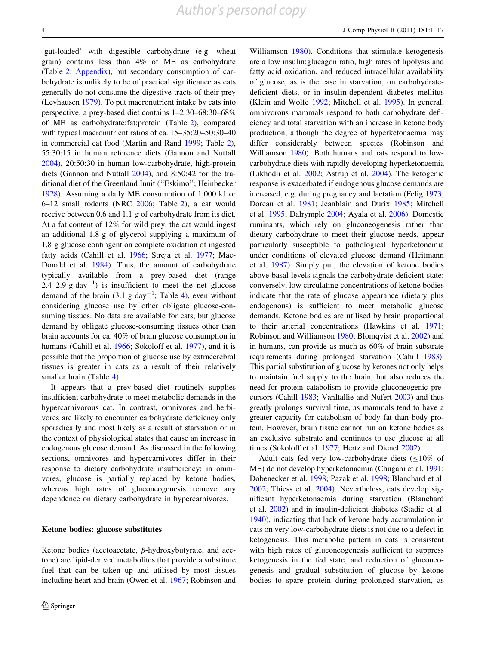'gut-loaded' with digestible carbohydrate (e.g. wheat grain) contains less than 4% of ME as carbohydrate (Table [2](#page-2-0); [Appendix](#page-11-0)), but secondary consumption of carbohydrate is unlikely to be of practical significance as cats generally do not consume the digestive tracts of their prey (Leyhausen [1979](#page-14-0)). To put macronutrient intake by cats into perspective, a prey-based diet contains 1–2:30–68:30–68% of ME as carbohydrate:fat:protein (Table [2\)](#page-2-0), compared with typical macronutrient ratios of ca. 15–35:20–50:30–40 in commercial cat food (Martin and Rand [1999;](#page-15-0) Table [2](#page-2-0)), 55:30:15 in human reference diets (Gannon and Nuttall [2004\)](#page-13-0), 20:50:30 in human low-carbohydrate, high-protein diets (Gannon and Nuttall [2004\)](#page-13-0), and 8:50:42 for the traditional diet of the Greenland Inuit (''Eskimo''; Heinbecker [1928\)](#page-14-0). Assuming a daily ME consumption of 1,000 kJ or 6–12 small rodents (NRC [2006](#page-15-0); Table [2](#page-2-0)), a cat would receive between 0.6 and 1.1 g of carbohydrate from its diet. At a fat content of 12% for wild prey, the cat would ingest an additional 1.8 g of glycerol supplying a maximum of 1.8 g glucose contingent on complete oxidation of ingested fatty acids (Cahill et al. [1966](#page-13-0); Streja et al. [1977;](#page-16-0) Mac-Donald et al. [1984\)](#page-15-0). Thus, the amount of carbohydrate typically available from a prey-based diet (range 2.4–2.9 g day<sup>-1</sup>) is insufficient to meet the net glucose demand of the brain  $(3.1 \text{ g day}^{-1})$ ; Table [4\)](#page-7-0), even without considering glucose use by other obligate glucose-consuming tissues. No data are available for cats, but glucose demand by obligate glucose-consuming tissues other than brain accounts for ca. 40% of brain glucose consumption in humans (Cahill et al. [1966;](#page-13-0) Sokoloff et al. [1977](#page-16-0)), and it is possible that the proportion of glucose use by extracerebral tissues is greater in cats as a result of their relatively smaller brain (Table [4](#page-7-0)).

It appears that a prey-based diet routinely supplies insufficient carbohydrate to meet metabolic demands in the hypercarnivorous cat. In contrast, omnivores and herbivores are likely to encounter carbohydrate deficiency only sporadically and most likely as a result of starvation or in the context of physiological states that cause an increase in endogenous glucose demand. As discussed in the following sections, omnivores and hypercarnivores differ in their response to dietary carbohydrate insufficiency: in omnivores, glucose is partially replaced by ketone bodies, whereas high rates of gluconeogenesis remove any dependence on dietary carbohydrate in hypercarnivores.

# Ketone bodies: glucose substitutes

Ketone bodies (acetoacetate,  $\beta$ -hydroxybutyrate, and acetone) are lipid-derived metabolites that provide a substitute fuel that can be taken up and utilised by most tissues including heart and brain (Owen et al. [1967;](#page-15-0) Robinson and

Williamson [1980\)](#page-15-0). Conditions that stimulate ketogenesis are a low insulin:glucagon ratio, high rates of lipolysis and fatty acid oxidation, and reduced intracellular availability of glucose, as is the case in starvation, on carbohydratedeficient diets, or in insulin-dependent diabetes mellitus (Klein and Wolfe [1992](#page-14-0); Mitchell et al. [1995\)](#page-15-0). In general, omnivorous mammals respond to both carbohydrate deficiency and total starvation with an increase in ketone body production, although the degree of hyperketonaemia may differ considerably between species (Robinson and Williamson [1980](#page-15-0)). Both humans and rats respond to lowcarbohydrate diets with rapidly developing hyperketonaemia (Likhodii et al. [2002;](#page-14-0) Astrup et al. [2004\)](#page-12-0). The ketogenic response is exacerbated if endogenous glucose demands are increased, e.g. during pregnancy and lactation (Felig [1973](#page-13-0); Doreau et al. [1981](#page-13-0); Jeanblain and Durix [1985;](#page-14-0) Mitchell et al. [1995](#page-15-0); Dalrymple [2004](#page-13-0); Ayala et al. [2006](#page-12-0)). Domestic ruminants, which rely on gluconeogenesis rather than dietary carbohydrate to meet their glucose needs, appear particularly susceptible to pathological hyperketonemia under conditions of elevated glucose demand (Heitmann et al. [1987](#page-14-0)). Simply put, the elevation of ketone bodies above basal levels signals the carbohydrate-deficient state; conversely, low circulating concentrations of ketone bodies indicate that the rate of glucose appearance (dietary plus endogenous) is sufficient to meet metabolic glucose demands. Ketone bodies are utilised by brain proportional to their arterial concentrations (Hawkins et al. [1971](#page-14-0); Robinson and Williamson [1980;](#page-15-0) Blomqvist et al. [2002](#page-13-0)) and in humans, can provide as much as 60% of brain substrate requirements during prolonged starvation (Cahill [1983\)](#page-13-0). This partial substitution of glucose by ketones not only helps to maintain fuel supply to the brain, but also reduces the need for protein catabolism to provide gluconeogenic precursors (Cahill [1983](#page-13-0); VanItallie and Nufert [2003](#page-16-0)) and thus greatly prolongs survival time, as mammals tend to have a greater capacity for catabolism of body fat than body protein. However, brain tissue cannot run on ketone bodies as an exclusive substrate and continues to use glucose at all times (Sokoloff et al. [1977](#page-16-0); Hertz and Dienel [2002\)](#page-14-0).

Adult cats fed very low-carbohydrate diets  $(\leq 10\%$  of ME) do not develop hyperketonaemia (Chugani et al. [1991](#page-13-0); Dobenecker et al. [1998;](#page-13-0) Pazak et al. [1998;](#page-15-0) Blanchard et al. [2002](#page-13-0); Thiess et al. [2004\)](#page-16-0). Nevertheless, cats develop significant hyperketonaemia during starvation (Blanchard et al. [2002](#page-13-0)) and in insulin-deficient diabetes (Stadie et al. [1940](#page-16-0)), indicating that lack of ketone body accumulation in cats on very low-carbohydrate diets is not due to a defect in ketogenesis. This metabolic pattern in cats is consistent with high rates of gluconeogenesis sufficient to suppress ketogenesis in the fed state, and reduction of gluconeogenesis and gradual substitution of glucose by ketone bodies to spare protein during prolonged starvation, as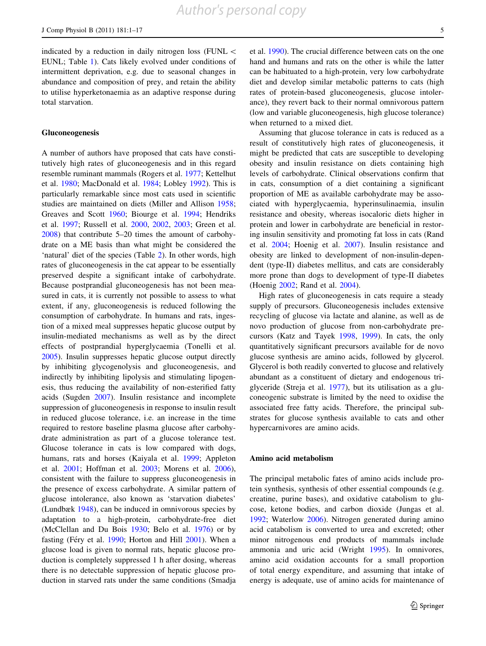indicated by a reduction in daily nitrogen loss (FUNL  $\lt$ EUNL; Table [1](#page-1-0)). Cats likely evolved under conditions of intermittent deprivation, e.g. due to seasonal changes in abundance and composition of prey, and retain the ability to utilise hyperketonaemia as an adaptive response during total starvation.

# Gluconeogenesis

A number of authors have proposed that cats have constitutively high rates of gluconeogenesis and in this regard resemble ruminant mammals (Rogers et al. [1977](#page-15-0); Kettelhut et al. [1980;](#page-14-0) MacDonald et al. [1984;](#page-15-0) Lobley [1992](#page-14-0)). This is particularly remarkable since most cats used in scientific studies are maintained on diets (Miller and Allison [1958](#page-15-0); Greaves and Scott [1960](#page-13-0); Biourge et al. [1994;](#page-13-0) Hendriks et al. [1997;](#page-14-0) Russell et al. [2000,](#page-15-0) [2002,](#page-15-0) [2003](#page-15-0); Green et al. [2008\)](#page-13-0) that contribute 5–20 times the amount of carbohydrate on a ME basis than what might be considered the 'natural' diet of the species (Table [2\)](#page-2-0). In other words, high rates of gluconeogenesis in the cat appear to be essentially preserved despite a significant intake of carbohydrate. Because postprandial gluconeogenesis has not been measured in cats, it is currently not possible to assess to what extent, if any, gluconeogenesis is reduced following the consumption of carbohydrate. In humans and rats, ingestion of a mixed meal suppresses hepatic glucose output by insulin-mediated mechanisms as well as by the direct effects of postprandial hyperglycaemia (Tonelli et al. [2005\)](#page-16-0). Insulin suppresses hepatic glucose output directly by inhibiting glycogenolysis and gluconeogenesis, and indirectly by inhibiting lipolysis and stimulating lipogenesis, thus reducing the availability of non-esterified fatty acids (Sugden [2007\)](#page-16-0). Insulin resistance and incomplete suppression of gluconeogenesis in response to insulin result in reduced glucose tolerance, i.e. an increase in the time required to restore baseline plasma glucose after carbohydrate administration as part of a glucose tolerance test. Glucose tolerance in cats is low compared with dogs, humans, rats and horses (Kaiyala et al. [1999](#page-14-0); Appleton et al. [2001;](#page-12-0) Hoffman et al. [2003](#page-14-0); Morens et al. [2006](#page-15-0)), consistent with the failure to suppress gluconeogenesis in the presence of excess carbohydrate. A similar pattern of glucose intolerance, also known as 'starvation diabetes' (Lundbæk [1948\)](#page-14-0), can be induced in omnivorous species by adaptation to a high-protein, carbohydrate-free diet (McClellan and Du Bois [1930](#page-15-0); Belo et al. [1976](#page-12-0)) or by fasting (Féry et al.  $1990$ ; Horton and Hill  $2001$ ). When a glucose load is given to normal rats, hepatic glucose production is completely suppressed 1 h after dosing, whereas there is no detectable suppression of hepatic glucose production in starved rats under the same conditions (Smadja et al. [1990](#page-16-0)). The crucial difference between cats on the one hand and humans and rats on the other is while the latter can be habituated to a high-protein, very low carbohydrate diet and develop similar metabolic patterns to cats (high rates of protein-based gluconeogenesis, glucose intolerance), they revert back to their normal omnivorous pattern (low and variable gluconeogenesis, high glucose tolerance) when returned to a mixed diet.

Assuming that glucose tolerance in cats is reduced as a result of constitutively high rates of gluconeogenesis, it might be predicted that cats are susceptible to developing obesity and insulin resistance on diets containing high levels of carbohydrate. Clinical observations confirm that in cats, consumption of a diet containing a significant proportion of ME as available carbohydrate may be associated with hyperglycaemia, hyperinsulinaemia, insulin resistance and obesity, whereas isocaloric diets higher in protein and lower in carbohydrate are beneficial in restoring insulin sensitivity and promoting fat loss in cats (Rand et al. [2004](#page-15-0); Hoenig et al. [2007\)](#page-14-0). Insulin resistance and obesity are linked to development of non-insulin-dependent (type-II) diabetes mellitus, and cats are considerably more prone than dogs to development of type-II diabetes (Hoenig [2002](#page-14-0); Rand et al. [2004](#page-15-0)).

High rates of gluconeogenesis in cats require a steady supply of precursors. Gluconeogenesis includes extensive recycling of glucose via lactate and alanine, as well as de novo production of glucose from non-carbohydrate precursors (Katz and Tayek [1998,](#page-14-0) [1999\)](#page-14-0). In cats, the only quantitatively significant precursors available for de novo glucose synthesis are amino acids, followed by glycerol. Glycerol is both readily converted to glucose and relatively abundant as a constituent of dietary and endogenous triglyceride (Streja et al. [1977](#page-16-0)), but its utilisation as a gluconeogenic substrate is limited by the need to oxidise the associated free fatty acids. Therefore, the principal substrates for glucose synthesis available to cats and other hypercarnivores are amino acids.

# Amino acid metabolism

The principal metabolic fates of amino acids include protein synthesis, synthesis of other essential compounds (e.g. creatine, purine bases), and oxidative catabolism to glucose, ketone bodies, and carbon dioxide (Jungas et al. [1992](#page-14-0); Waterlow [2006\)](#page-16-0). Nitrogen generated during amino acid catabolism is converted to urea and excreted; other minor nitrogenous end products of mammals include ammonia and uric acid (Wright [1995\)](#page-16-0). In omnivores, amino acid oxidation accounts for a small proportion of total energy expenditure, and assuming that intake of energy is adequate, use of amino acids for maintenance of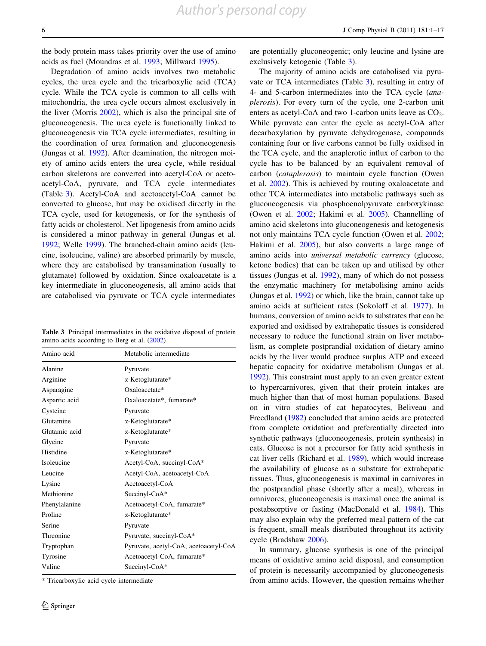the body protein mass takes priority over the use of amino acids as fuel (Moundras et al. [1993](#page-15-0); Millward [1995\)](#page-15-0).

Degradation of amino acids involves two metabolic cycles, the urea cycle and the tricarboxylic acid (TCA) cycle. While the TCA cycle is common to all cells with mitochondria, the urea cycle occurs almost exclusively in the liver (Morris [2002](#page-15-0)), which is also the principal site of gluconeogenesis. The urea cycle is functionally linked to gluconeogenesis via TCA cycle intermediates, resulting in the coordination of urea formation and gluconeogenesis (Jungas et al. [1992\)](#page-14-0). After deamination, the nitrogen moiety of amino acids enters the urea cycle, while residual carbon skeletons are converted into acetyl-CoA or acetoacetyl-CoA, pyruvate, and TCA cycle intermediates (Table 3). Acetyl-CoA and acetoacetyl-CoA cannot be converted to glucose, but may be oxidised directly in the TCA cycle, used for ketogenesis, or for the synthesis of fatty acids or cholesterol. Net lipogenesis from amino acids is considered a minor pathway in general (Jungas et al. [1992;](#page-14-0) Welle [1999](#page-16-0)). The branched-chain amino acids (leucine, isoleucine, valine) are absorbed primarily by muscle, where they are catabolised by transamination (usually to glutamate) followed by oxidation. Since oxaloacetate is a key intermediate in gluconeogenesis, all amino acids that are catabolised via pyruvate or TCA cycle intermediates

Table 3 Principal intermediates in the oxidative disposal of protein amino acids according to Berg et al. [\(2002](#page-12-0))

| Amino acid    | Metabolic intermediate                |
|---------------|---------------------------------------|
| Alanine       | Pyruvate                              |
| Arginine      | $\alpha$ -Ketoglutarate*              |
| Asparagine    | Oxaloacetate*                         |
| Aspartic acid | Oxaloacetate*, fumarate*              |
| Cysteine      | Pyruvate                              |
| Glutamine     | $\alpha$ -Ketoglutarate*              |
| Glutamic acid | $\alpha$ -Ketoglutarate*              |
| Glycine       | Pyruvate                              |
| Histidine     | $\alpha$ -Ketoglutarate*              |
| Isoleucine    | Acetyl-CoA, succinyl-CoA*             |
| Leucine       | Acetyl-CoA, acetoacetyl-CoA           |
| Lysine        | Acetoacetyl-CoA                       |
| Methionine    | Succinyl-CoA*                         |
| Phenylalanine | Acetoacetyl-CoA, fumarate*            |
| Proline       | $\alpha$ -Ketoglutarate*              |
| Serine        | Pyruvate                              |
| Threonine     | Pyruvate, succinyl-CoA*               |
| Tryptophan    | Pyruvate, acetyl-CoA, acetoacetyl-CoA |
| Tyrosine      | Acetoacetyl-CoA, fumarate*            |
| Valine        | Succinyl-CoA*                         |

\* Tricarboxylic acid cycle intermediate

are potentially gluconeogenic; only leucine and lysine are exclusively ketogenic (Table 3).

The majority of amino acids are catabolised via pyruvate or TCA intermediates (Table 3), resulting in entry of 4- and 5-carbon intermediates into the TCA cycle (anaplerosis). For every turn of the cycle, one 2-carbon unit enters as acetyl-CoA and two 1-carbon units leave as  $CO<sub>2</sub>$ . While pyruvate can enter the cycle as acetyl-CoA after decarboxylation by pyruvate dehydrogenase, compounds containing four or five carbons cannot be fully oxidised in the TCA cycle, and the anaplerotic influx of carbon to the cycle has to be balanced by an equivalent removal of carbon (cataplerosis) to maintain cycle function (Owen et al. [2002](#page-15-0)). This is achieved by routing oxaloacetate and other TCA intermediates into metabolic pathways such as gluconeogenesis via phosphoenolpyruvate carboxykinase (Owen et al. [2002;](#page-15-0) Hakimi et al. [2005](#page-14-0)). Channelling of amino acid skeletons into gluconeogenesis and ketogenesis not only maintains TCA cycle function (Owen et al. [2002](#page-15-0); Hakimi et al. [2005](#page-14-0)), but also converts a large range of amino acids into universal metabolic currency (glucose, ketone bodies) that can be taken up and utilised by other tissues (Jungas et al. [1992](#page-14-0)), many of which do not possess the enzymatic machinery for metabolising amino acids (Jungas et al. [1992](#page-14-0)) or which, like the brain, cannot take up amino acids at sufficient rates (Sokoloff et al. [1977\)](#page-16-0). In humans, conversion of amino acids to substrates that can be exported and oxidised by extrahepatic tissues is considered necessary to reduce the functional strain on liver metabolism, as complete postprandial oxidation of dietary amino acids by the liver would produce surplus ATP and exceed hepatic capacity for oxidative metabolism (Jungas et al. [1992](#page-14-0)). This constraint must apply to an even greater extent to hypercarnivores, given that their protein intakes are much higher than that of most human populations. Based on in vitro studies of cat hepatocytes, Beliveau and Freedland [\(1982](#page-12-0)) concluded that amino acids are protected from complete oxidation and preferentially directed into synthetic pathways (gluconeogenesis, protein synthesis) in cats. Glucose is not a precursor for fatty acid synthesis in cat liver cells (Richard et al. [1989](#page-15-0)), which would increase the availability of glucose as a substrate for extrahepatic tissues. Thus, gluconeogenesis is maximal in carnivores in the postprandial phase (shortly after a meal), whereas in omnivores, gluconeogenesis is maximal once the animal is postabsorptive or fasting (MacDonald et al. [1984\)](#page-15-0). This may also explain why the preferred meal pattern of the cat is frequent, small meals distributed throughout its activity cycle (Bradshaw [2006](#page-13-0)).

In summary, glucose synthesis is one of the principal means of oxidative amino acid disposal, and consumption of protein is necessarily accompanied by gluconeogenesis from amino acids. However, the question remains whether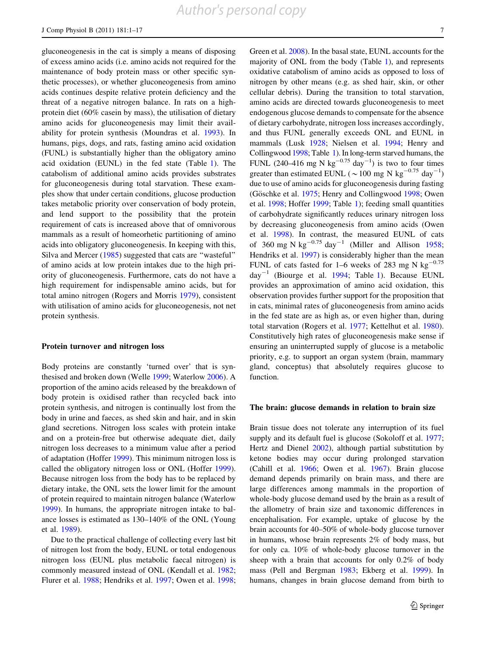gluconeogenesis in the cat is simply a means of disposing of excess amino acids (i.e. amino acids not required for the maintenance of body protein mass or other specific synthetic processes), or whether gluconeogenesis from amino acids continues despite relative protein deficiency and the threat of a negative nitrogen balance. In rats on a highprotein diet (60% casein by mass), the utilisation of dietary amino acids for gluconeogenesis may limit their availability for protein synthesis (Moundras et al. [1993\)](#page-15-0). In humans, pigs, dogs, and rats, fasting amino acid oxidation (FUNL) is substantially higher than the obligatory amino acid oxidation (EUNL) in the fed state (Table [1](#page-1-0)). The catabolism of additional amino acids provides substrates for gluconeogenesis during total starvation. These examples show that under certain conditions, glucose production takes metabolic priority over conservation of body protein, and lend support to the possibility that the protein requirement of cats is increased above that of omnivorous mammals as a result of homeorhetic partitioning of amino acids into obligatory gluconeogenesis. In keeping with this, Silva and Mercer ([1985\)](#page-16-0) suggested that cats are ''wasteful'' of amino acids at low protein intakes due to the high priority of gluconeogenesis. Furthermore, cats do not have a high requirement for indispensable amino acids, but for total amino nitrogen (Rogers and Morris [1979](#page-15-0)), consistent with utilisation of amino acids for gluconeogenesis, not net protein synthesis.

#### Protein turnover and nitrogen loss

Body proteins are constantly 'turned over' that is synthesised and broken down (Welle [1999;](#page-16-0) Waterlow [2006\)](#page-16-0). A proportion of the amino acids released by the breakdown of body protein is oxidised rather than recycled back into protein synthesis, and nitrogen is continually lost from the body in urine and faeces, as shed skin and hair, and in skin gland secretions. Nitrogen loss scales with protein intake and on a protein-free but otherwise adequate diet, daily nitrogen loss decreases to a minimum value after a period of adaptation (Hoffer [1999\)](#page-14-0). This minimum nitrogen loss is called the obligatory nitrogen loss or ONL (Hoffer [1999](#page-14-0)). Because nitrogen loss from the body has to be replaced by dietary intake, the ONL sets the lower limit for the amount of protein required to maintain nitrogen balance (Waterlow [1999\)](#page-16-0). In humans, the appropriate nitrogen intake to balance losses is estimated as 130–140% of the ONL (Young et al. [1989\)](#page-16-0).

Due to the practical challenge of collecting every last bit of nitrogen lost from the body, EUNL or total endogenous nitrogen loss (EUNL plus metabolic faecal nitrogen) is commonly measured instead of ONL (Kendall et al. [1982](#page-14-0); Flurer et al. [1988;](#page-13-0) Hendriks et al. [1997](#page-14-0); Owen et al. [1998](#page-15-0); Green et al. [2008\)](#page-13-0). In the basal state, EUNL accounts for the majority of ONL from the body (Table [1](#page-1-0)), and represents oxidative catabolism of amino acids as opposed to loss of nitrogen by other means (e.g. as shed hair, skin, or other cellular debris). During the transition to total starvation, amino acids are directed towards gluconeogenesis to meet endogenous glucose demands to compensate for the absence of dietary carbohydrate, nitrogen loss increases accordingly, and thus FUNL generally exceeds ONL and EUNL in mammals (Lusk [1928](#page-15-0); Nielsen et al. [1994](#page-15-0); Henry and Collingwood [1998](#page-14-0); Table [1\)](#page-1-0). In long-term starved humans, the FUNL (240–416 mg N kg<sup>-0.75</sup> day<sup>-1</sup>) is two to four times greater than estimated EUNL ( $\sim$  100 mg N kg<sup>-0.75</sup> day<sup>-1</sup>) due to use of amino acids for gluconeogenesis during fasting (Göschke et al. [1975;](#page-13-0) Henry and Collingwood [1998;](#page-14-0) Owen et al. [1998](#page-15-0); Hoffer [1999;](#page-14-0) Table [1\)](#page-1-0); feeding small quantities of carbohydrate significantly reduces urinary nitrogen loss by decreasing gluconeogenesis from amino acids (Owen et al. [1998\)](#page-15-0). In contrast, the measured EUNL of cats of 360 mg N kg<sup>-0.75</sup> day<sup>-1</sup> (Miller and Allison [1958](#page-15-0); Hendriks et al. [1997\)](#page-14-0) is considerably higher than the mean FUNL of cats fasted for 1–6 weeks of 283 mg N kg<sup>-0.75</sup>  $day^{-1}$  (Biourge et al. [1994;](#page-13-0) Table [1\)](#page-1-0). Because EUNL provides an approximation of amino acid oxidation, this observation provides further support for the proposition that in cats, minimal rates of gluconeogenesis from amino acids in the fed state are as high as, or even higher than, during total starvation (Rogers et al. [1977](#page-15-0); Kettelhut et al. [1980](#page-14-0)). Constitutively high rates of gluconeogenesis make sense if ensuring an uninterrupted supply of glucose is a metabolic priority, e.g. to support an organ system (brain, mammary gland, conceptus) that absolutely requires glucose to function.

#### The brain: glucose demands in relation to brain size

Brain tissue does not tolerate any interruption of its fuel supply and its default fuel is glucose (Sokoloff et al. [1977](#page-16-0); Hertz and Dienel [2002](#page-14-0)), although partial substitution by ketone bodies may occur during prolonged starvation (Cahill et al. [1966](#page-13-0); Owen et al. [1967](#page-15-0)). Brain glucose demand depends primarily on brain mass, and there are large differences among mammals in the proportion of whole-body glucose demand used by the brain as a result of the allometry of brain size and taxonomic differences in encephalisation. For example, uptake of glucose by the brain accounts for 40–50% of whole-body glucose turnover in humans, whose brain represents 2% of body mass, but for only ca. 10% of whole-body glucose turnover in the sheep with a brain that accounts for only 0.2% of body mass (Pell and Bergman [1983](#page-15-0); Ekberg et al. [1999](#page-13-0)). In humans, changes in brain glucose demand from birth to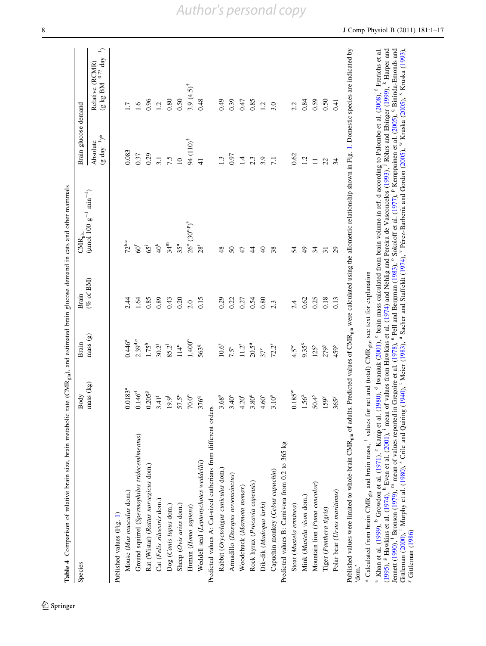| Species                                                                                                                                                                                                                                                                                                                                                                                                                                                                                                  | Body                          | Brain               | Brain                                                         | $\mathrm{CMR}_{\mathrm{glu}}$                                                                                                               | Brain glucose demand                   |                                                                 |
|----------------------------------------------------------------------------------------------------------------------------------------------------------------------------------------------------------------------------------------------------------------------------------------------------------------------------------------------------------------------------------------------------------------------------------------------------------------------------------------------------------|-------------------------------|---------------------|---------------------------------------------------------------|---------------------------------------------------------------------------------------------------------------------------------------------|----------------------------------------|-----------------------------------------------------------------|
|                                                                                                                                                                                                                                                                                                                                                                                                                                                                                                          | mass (kg)                     | mass <sub>(g)</sub> | $(\%$ of BM)                                                  | $(\mu$ mol 100 g <sup>-1</sup> min <sup>-1</sup> )                                                                                          | $(g\,\mathrm{day}^{-1})^*$<br>Absolute | $(g \text{ kg BM}^{-0.75} \text{ day}^{-1})$<br>Relative (RCMR) |
| Published values (Fig. 1)                                                                                                                                                                                                                                                                                                                                                                                                                                                                                |                               |                     |                                                               |                                                                                                                                             |                                        |                                                                 |
| Mouse (Mus musculus dom.)                                                                                                                                                                                                                                                                                                                                                                                                                                                                                | $0.0183^{a}$                  | $0.446^{a}$         | 2.44                                                          | $72^{b,c}$                                                                                                                                  | 0.083                                  | $\overline{C}$                                                  |
| Ground squirrel (Spermophilus tridecemlineatus)                                                                                                                                                                                                                                                                                                                                                                                                                                                          | $0.146^{d}$                   | $2.39^{d,e}$        | 1.64                                                          | $60^{\circ}$                                                                                                                                | 0.37                                   | 1.6                                                             |
| Rat (Wistar) (Rattus norvegicus dom.)                                                                                                                                                                                                                                                                                                                                                                                                                                                                    | $0.205$ <sup>g</sup>          | $1.75^{\rm h}$      | 0.85                                                          | 651                                                                                                                                         | 0.29                                   | 0.96                                                            |
| Cat (Felis silvestris dom.)                                                                                                                                                                                                                                                                                                                                                                                                                                                                              | 3.41 <sup>j</sup>             | $30.2^{\rm j}$      | 0.89                                                          | 40 <sup>k</sup>                                                                                                                             | 3.1                                    | 1.2                                                             |
| Dog (Canis lupus dom.)                                                                                                                                                                                                                                                                                                                                                                                                                                                                                   | $19.9^{\rm l}$                | $85.2^{1}$          | 0.43                                                          | 34 <sup>m</sup>                                                                                                                             | 7.5                                    | 0.80                                                            |
| Sheep (Ovis aries dom.)                                                                                                                                                                                                                                                                                                                                                                                                                                                                                  | 57.5 <sup>n</sup>             | $114^n$             | 0.20                                                          | 35 <sup>n</sup>                                                                                                                             | $\overline{10}$                        | 0.50                                                            |
| Human (Homo sapiens)                                                                                                                                                                                                                                                                                                                                                                                                                                                                                     | $0.0^{\circ}$                 | 1,400°              | 2.0                                                           | $26^{\circ}$ $(30^{\circ}P)^{\dagger}$                                                                                                      | 94 (110) <sup>†</sup>                  | $3.9(4.5)^{+}$                                                  |
| Weddell seal (Leptonychotes weddellii)                                                                                                                                                                                                                                                                                                                                                                                                                                                                   | 3769                          | 5639                | 0.15                                                          | 28 <sup>r</sup>                                                                                                                             |                                        | 0.48                                                            |
| Predicted values A: Cat-sized eutherians from different orders                                                                                                                                                                                                                                                                                                                                                                                                                                           |                               |                     |                                                               |                                                                                                                                             |                                        |                                                                 |
| Rabbit (Oryctolagus cuniculus dom.)                                                                                                                                                                                                                                                                                                                                                                                                                                                                      | 3.68 <sup>s</sup>             | $10.6^\circ$        | 0.29                                                          | 48                                                                                                                                          | 1.3                                    | 0.49                                                            |
| Armadillo (Dasypus novemcinctus)                                                                                                                                                                                                                                                                                                                                                                                                                                                                         | $3.40^{s}$                    | $7.5^s$             | 0.22                                                          | 50                                                                                                                                          | 0.97                                   | 0.39                                                            |
| Woodchuck (Marmota monax)                                                                                                                                                                                                                                                                                                                                                                                                                                                                                | 4.20 <sup>t</sup>             | 11.2 <sup>t</sup>   | 0.27                                                          | 47                                                                                                                                          | 1.4                                    | 0.47                                                            |
| Rock hyrax (Procavia capensis)                                                                                                                                                                                                                                                                                                                                                                                                                                                                           | $80^{\rm u}$<br>$\mathcal{C}$ | 20.5 <sup>u</sup>   | 0.54                                                          | $\overline{4}$                                                                                                                              | 2.3                                    | 0.85                                                            |
| Dik-dik (Madoqua kirki)                                                                                                                                                                                                                                                                                                                                                                                                                                                                                  | $4.60^{\rm v}$                | $37^v$              | 0.80                                                          | $\overline{4}$                                                                                                                              | 3.9                                    | 1.2                                                             |
| Capuchin monkey (Cebus capuchin)                                                                                                                                                                                                                                                                                                                                                                                                                                                                         | $3.10^{8}$                    | 72.2 <sup>s</sup>   | 2.3                                                           | 38                                                                                                                                          | 7.1                                    | 3.0                                                             |
| Predicted values B: Carnivora from 0.2 to 365 kg                                                                                                                                                                                                                                                                                                                                                                                                                                                         |                               |                     |                                                               |                                                                                                                                             |                                        |                                                                 |
| Stoat (Mustela erninea)                                                                                                                                                                                                                                                                                                                                                                                                                                                                                  | $0.185^w$                     | $4.5^w$             | 2.4                                                           | 54                                                                                                                                          | 0.62                                   | 2.2                                                             |
| Mink (Mustela vison dom.)                                                                                                                                                                                                                                                                                                                                                                                                                                                                                | 1.56 <sup>x</sup>             | $9.35^{\mathrm{x}}$ | 0.62                                                          | $\overline{4}$                                                                                                                              | 1.2                                    | 0.84                                                            |
| Mountain lion (Puna concolor)                                                                                                                                                                                                                                                                                                                                                                                                                                                                            | $50.4^{y}$                    | 125 <sup>y</sup>    | 0.25                                                          | 34                                                                                                                                          | $\Box$                                 | 0.59                                                            |
| Tiger (Panthera tigris)                                                                                                                                                                                                                                                                                                                                                                                                                                                                                  | 59                            | 279 <sup>y</sup>    | 0.18                                                          | $\overline{31}$                                                                                                                             | 22                                     | 0.50                                                            |
| Polar bear (Ursus maritimus)                                                                                                                                                                                                                                                                                                                                                                                                                                                                             | $365^y$                       | 459 <sup>y</sup>    | 0.13                                                          | 29                                                                                                                                          | 34                                     | 0.41                                                            |
| Published values were limited to whole-brain CMR <sub>glu</sub> of adults.<br>$\dim$ .                                                                                                                                                                                                                                                                                                                                                                                                                   |                               |                     |                                                               | Predicted values of CMR <sub>glu</sub> were calculated using the allometric relationship shown in Fig. 1. Domestic species are indicated by |                                        |                                                                 |
| * Calculated from brain CMR <sub>glu</sub> and brain mass, <sup>†</sup> values for                                                                                                                                                                                                                                                                                                                                                                                                                       |                               |                     | net and (total) CMR <sub>glu</sub> , see text for explanation |                                                                                                                                             |                                        |                                                                 |
| Knan et al. (1999), " Growdon et al. (1971), "Kamp et al. (1980), "Iwaniuk (2001), " brain mass calculated from brain volume in ref. d according to Palombo et al. (2008), " Frerichs et al. (1995), " Frechts et al. (1974),<br>Gittleman (2000), <sup>r</sup> Murphy et al. (1980), <sup>s</sup> Crile and Quiring (1940), <sup>t</sup> Meier (1983), <sup>u</sup> Sacher and Staffeldt (1974), <sup>v</sup> Pérez-Barbería and Gordon (2005), <sup>w</sup> Kruska (2005), <sup>x</sup> Kruska (1993), |                               |                     |                                                               |                                                                                                                                             |                                        |                                                                 |
| <sup>y</sup> Gittleman (1986)                                                                                                                                                                                                                                                                                                                                                                                                                                                                            |                               |                     |                                                               |                                                                                                                                             |                                        |                                                                 |

<span id="page-7-0"></span>8 J Comp Physiol B (2011) 181:1–17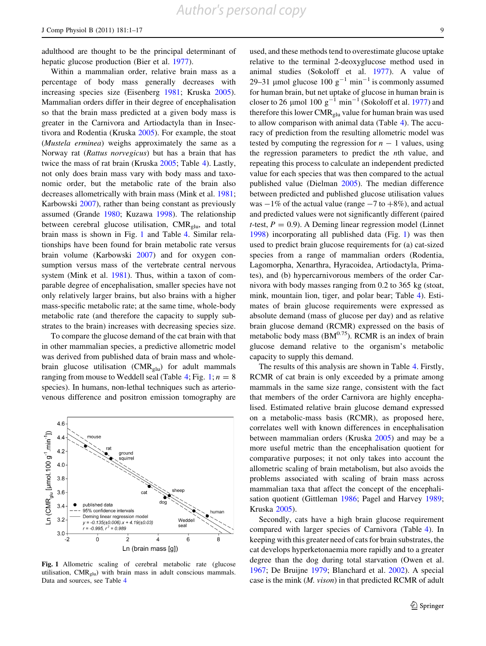<span id="page-8-0"></span>adulthood are thought to be the principal determinant of hepatic glucose production (Bier et al. [1977](#page-12-0)).

Within a mammalian order, relative brain mass as a percentage of body mass generally decreases with increasing species size (Eisenberg [1981](#page-13-0); Kruska [2005](#page-14-0)). Mammalian orders differ in their degree of encephalisation so that the brain mass predicted at a given body mass is greater in the Carnivora and Artiodactyla than in Insectivora and Rodentia (Kruska [2005](#page-14-0)). For example, the stoat (Mustela erminea) weighs approximately the same as a Norway rat (Rattus norvegicus) but has a brain that has twice the mass of rat brain (Kruska [2005](#page-14-0); Table [4\)](#page-7-0). Lastly, not only does brain mass vary with body mass and taxonomic order, but the metabolic rate of the brain also decreases allometrically with brain mass (Mink et al. [1981](#page-15-0); Karbowski [2007\)](#page-14-0), rather than being constant as previously assumed (Grande [1980](#page-13-0); Kuzawa [1998\)](#page-14-0). The relationship between cerebral glucose utilisation,  $CMR_{glu}$ , and total brain mass is shown in Fig. 1 and Table [4](#page-7-0). Similar relationships have been found for brain metabolic rate versus brain volume (Karbowski [2007](#page-14-0)) and for oxygen consumption versus mass of the vertebrate central nervous system (Mink et al. [1981](#page-15-0)). Thus, within a taxon of comparable degree of encephalisation, smaller species have not only relatively larger brains, but also brains with a higher mass-specific metabolic rate; at the same time, whole-body metabolic rate (and therefore the capacity to supply substrates to the brain) increases with decreasing species size.

To compare the glucose demand of the cat brain with that in other mammalian species, a predictive allometric model was derived from published data of brain mass and wholebrain glucose utilisation ( $CMR_{glu}$ ) for adult mammals ranging from mouse to Weddell seal (Table [4](#page-7-0); Fig. 1;  $n = 8$ ) species). In humans, non-lethal techniques such as arteriovenous difference and positron emission tomography are



Fig. 1 Allometric scaling of cerebral metabolic rate (glucose utilisation,  $CMR_{glu}$ ) with brain mass in adult conscious mammals. Data and sources, see Table [4](#page-7-0)

used, and these methods tend to overestimate glucose uptake relative to the terminal 2-deoxyglucose method used in animal studies (Sokoloff et al. [1977\)](#page-16-0). A value of 29–31 µmol glucose  $100 \text{ g}^{-1}$  min<sup>-1</sup> is commonly assumed for human brain, but net uptake of glucose in human brain is closer to 26 µmol 100  $g^{-1}$  min<sup>-1</sup> (Sokoloff et al. [1977](#page-16-0)) and therefore this lower  $CMR_{glu}$  value for human brain was used to allow comparison with animal data (Table [4\)](#page-7-0). The accuracy of prediction from the resulting allometric model was tested by computing the regression for  $n - 1$  values, using the regression parameters to predict the nth value, and repeating this process to calculate an independent predicted value for each species that was then compared to the actual published value (Dielman [2005\)](#page-13-0). The median difference between predicted and published glucose utilisation values was  $-1\%$  of the actual value (range  $-7$  to  $+8\%$ ), and actual and predicted values were not significantly different (paired t-test,  $P = 0.9$ ). A Deming linear regression model (Linnet [1998](#page-14-0)) incorporating all published data (Fig. 1) was then used to predict brain glucose requirements for (a) cat-sized species from a range of mammalian orders (Rodentia, Lagomorpha, Xenarthra, Hyracoidea, Artiodactyla, Primates), and (b) hypercarnivorous members of the order Carnivora with body masses ranging from 0.2 to 365 kg (stoat, mink, mountain lion, tiger, and polar bear; Table [4](#page-7-0)). Estimates of brain glucose requirements were expressed as absolute demand (mass of glucose per day) and as relative brain glucose demand (RCMR) expressed on the basis of metabolic body mass  $(BM<sup>0.75</sup>)$ . RCMR is an index of brain glucose demand relative to the organism's metabolic capacity to supply this demand.

The results of this analysis are shown in Table [4.](#page-7-0) Firstly, RCMR of cat brain is only exceeded by a primate among mammals in the same size range, consistent with the fact that members of the order Carnivora are highly encephalised. Estimated relative brain glucose demand expressed on a metabolic-mass basis (RCMR), as proposed here, correlates well with known differences in encephalisation between mammalian orders (Kruska [2005\)](#page-14-0) and may be a more useful metric than the encephalisation quotient for comparative purposes; it not only takes into account the allometric scaling of brain metabolism, but also avoids the problems associated with scaling of brain mass across mammalian taxa that affect the concept of the encephalisation quotient (Gittleman [1986;](#page-13-0) Pagel and Harvey [1989](#page-15-0); Kruska [2005](#page-14-0)).

Secondly, cats have a high brain glucose requirement compared with larger species of Carnivora (Table [4\)](#page-7-0). In keeping with this greater need of cats for brain substrates, the cat develops hyperketonaemia more rapidly and to a greater degree than the dog during total starvation (Owen et al. [1967](#page-15-0); De Bruijne [1979](#page-13-0); Blanchard et al. [2002](#page-13-0)). A special case is the mink (M. vison) in that predicted RCMR of adult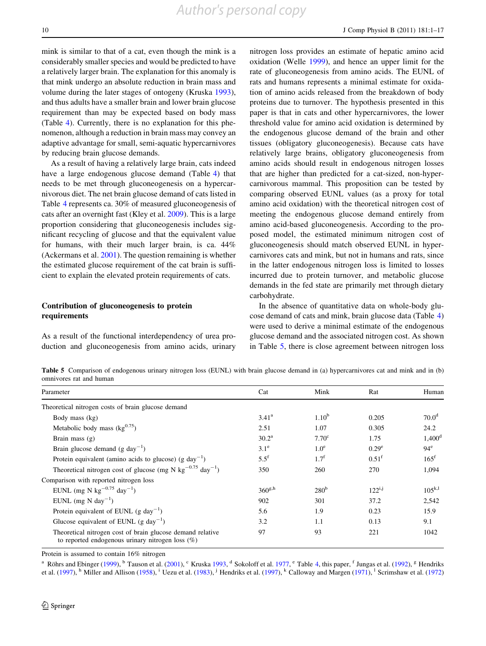*Author's personal copy*

<span id="page-9-0"></span>mink is similar to that of a cat, even though the mink is a considerably smaller species and would be predicted to have a relatively larger brain. The explanation for this anomaly is that mink undergo an absolute reduction in brain mass and volume during the later stages of ontogeny (Kruska [1993](#page-14-0)), and thus adults have a smaller brain and lower brain glucose requirement than may be expected based on body mass (Table [4](#page-7-0)). Currently, there is no explanation for this phenomenon, although a reduction in brain mass may convey an adaptive advantage for small, semi-aquatic hypercarnivores by reducing brain glucose demands.

As a result of having a relatively large brain, cats indeed have a large endogenous glucose demand (Table [4](#page-7-0)) that needs to be met through gluconeogenesis on a hypercarnivorous diet. The net brain glucose demand of cats listed in Table [4](#page-7-0) represents ca. 30% of measured gluconeogenesis of cats after an overnight fast (Kley et al. [2009](#page-14-0)). This is a large proportion considering that gluconeogenesis includes significant recycling of glucose and that the equivalent value for humans, with their much larger brain, is ca. 44% (Ackermans et al. [2001](#page-12-0)). The question remaining is whether the estimated glucose requirement of the cat brain is sufficient to explain the elevated protein requirements of cats.

# Contribution of gluconeogenesis to protein requirements

As a result of the functional interdependency of urea production and gluconeogenesis from amino acids, urinary nitrogen loss provides an estimate of hepatic amino acid oxidation (Welle [1999\)](#page-16-0), and hence an upper limit for the rate of gluconeogenesis from amino acids. The EUNL of rats and humans represents a minimal estimate for oxidation of amino acids released from the breakdown of body proteins due to turnover. The hypothesis presented in this paper is that in cats and other hypercarnivores, the lower threshold value for amino acid oxidation is determined by the endogenous glucose demand of the brain and other tissues (obligatory gluconeogenesis). Because cats have relatively large brains, obligatory gluconeogenesis from amino acids should result in endogenous nitrogen losses that are higher than predicted for a cat-sized, non-hypercarnivorous mammal. This proposition can be tested by comparing observed EUNL values (as a proxy for total amino acid oxidation) with the theoretical nitrogen cost of meeting the endogenous glucose demand entirely from amino acid-based gluconeogenesis. According to the proposed model, the estimated minimum nitrogen cost of gluconeogenesis should match observed EUNL in hypercarnivores cats and mink, but not in humans and rats, since in the latter endogenous nitrogen loss is limited to losses incurred due to protein turnover, and metabolic glucose demands in the fed state are primarily met through dietary carbohydrate.

In the absence of quantitative data on whole-body glucose demand of cats and mink, brain glucose data (Table [4\)](#page-7-0) were used to derive a minimal estimate of the endogenous glucose demand and the associated nitrogen cost. As shown in Table 5, there is close agreement between nitrogen loss

Table 5 Comparison of endogenous urinary nitrogen loss (EUNL) with brain glucose demand in (a) hypercarnivores cat and mink and in (b) omnivores rat and human

| Parameter                                                                                                         | Cat            | Mink              | Rat               | Human             |
|-------------------------------------------------------------------------------------------------------------------|----------------|-------------------|-------------------|-------------------|
| Theoretical nitrogen costs of brain glucose demand                                                                |                |                   |                   |                   |
| Body mass (kg)                                                                                                    | $3.41^{\rm a}$ | 1.10 <sup>b</sup> | 0.205             | 70.0 <sup>d</sup> |
| Metabolic body mass $(kg^{0.75})$                                                                                 | 2.51           | 1.07              | 0.305             | 24.2              |
| Brain mass $(g)$                                                                                                  | $30.2^{\rm a}$ | 7.70 <sup>c</sup> | 1.75              | $1,400^{\rm d}$   |
| Brain glucose demand (g day <sup>-1</sup> )                                                                       | $3.1^e$        | 1.0 <sup>e</sup>  | 0.29 <sup>e</sup> | $94^e$            |
| Protein equivalent (amino acids to glucose) (g day <sup>-1</sup> )                                                | $5.5^{\rm f}$  | 1.7 <sup>f</sup>  | 0.51 <sup>f</sup> | 165 <sup>f</sup>  |
| Theoretical nitrogen cost of glucose (mg N $\text{kg}^{-0.75}$ day <sup>-1</sup> )                                | 350            | 260               | 270               | 1,094             |
| Comparison with reported nitrogen loss                                                                            |                |                   |                   |                   |
| EUNL (mg N kg <sup>-0.75</sup> day <sup>-1</sup> )                                                                | $360^{g,h}$    | 280 <sup>b</sup>  | $122^{i,j}$       | $105^{k,1}$       |
| EUNL (mg N day <sup>-1</sup> )                                                                                    | 902            | 301               | 37.2              | 2,542             |
| Protein equivalent of EUNL (g day <sup>-1</sup> )                                                                 | 5.6            | 1.9               | 0.23              | 15.9              |
| Glucose equivalent of EUNL (g day <sup>-1</sup> )                                                                 | 3.2            | 1.1               | 0.13              | 9.1               |
| Theoretical nitrogen cost of brain glucose demand relative<br>to reported endogenous urinary nitrogen loss $(\%)$ | 97             | 93                | 221               | 1042              |

Protein is assumed to contain 16% nitrogen

<sup>a</sup> Röhrs and Ebinger [\(1999](#page-15-0)), <sup>b</sup> Tauson et al. [\(2001](#page-16-0)), <sup>c</sup> Kruska [1993](#page-14-0), <sup>d</sup> Sokoloff et al. [1977,](#page-16-0) <sup>e</sup> Table [4,](#page-7-0) this paper, <sup>f</sup> Jungas et al. [\(1992](#page-14-0)), <sup>g</sup> Hendriks et al. ([1997\)](#page-14-0), <sup>h</sup> Miller and Allison [\(1958](#page-15-0)), <sup>i</sup> Uezu et al. ([1983\)](#page-16-0), <sup>j</sup> Hendriks et al. [\(1997\)](#page-14-0), <sup>k</sup> Calloway and Margen [\(1971](#page-13-0)), <sup>1</sup> Scrimshaw et al. [\(1972](#page-16-0))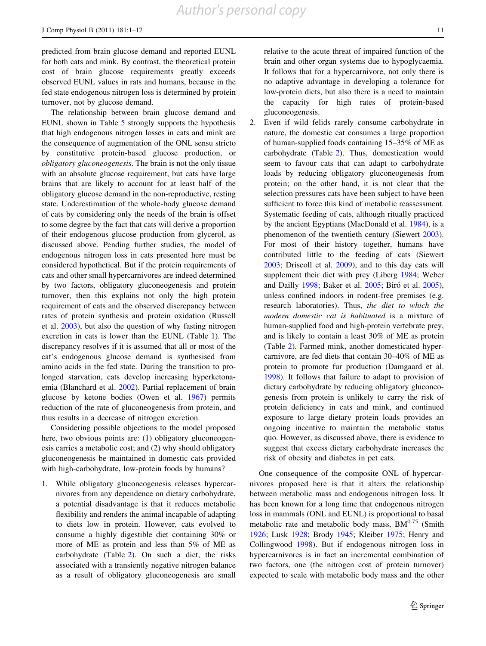predicted from brain glucose demand and reported EUNL for both cats and mink. By contrast, the theoretical protein cost of brain glucose requirements greatly exceeds observed EUNL values in rats and humans, because in the fed state endogenous nitrogen loss is determined by protein turnover, not by glucose demand.

The relationship between brain glucose demand and EUNL shown in Table [5](#page-9-0) strongly supports the hypothesis that high endogenous nitrogen losses in cats and mink are the consequence of augmentation of the ONL sensu stricto by constitutive protein-based glucose production, or obligatory gluconeogenesis. The brain is not the only tissue with an absolute glucose requirement, but cats have large brains that are likely to account for at least half of the obligatory glucose demand in the non-reproductive, resting state. Underestimation of the whole-body glucose demand of cats by considering only the needs of the brain is offset to some degree by the fact that cats will derive a proportion of their endogenous glucose production from glycerol, as discussed above. Pending further studies, the model of endogenous nitrogen loss in cats presented here must be considered hypothetical. But if the protein requirements of cats and other small hypercarnivores are indeed determined by two factors, obligatory gluconeogenesis and protein turnover, then this explains not only the high protein requirement of cats and the observed discrepancy between rates of protein synthesis and protein oxidation (Russell et al. [2003\)](#page-15-0), but also the question of why fasting nitrogen excretion in cats is lower than the EUNL (Table [1\)](#page-1-0). The discrepancy resolves if it is assumed that all or most of the cat's endogenous glucose demand is synthesised from amino acids in the fed state. During the transition to prolonged starvation, cats develop increasing hyperketonaemia (Blanchard et al. [2002\)](#page-13-0). Partial replacement of brain glucose by ketone bodies (Owen et al. [1967\)](#page-15-0) permits reduction of the rate of gluconeogenesis from protein, and thus results in a decrease of nitrogen excretion.

Considering possible objections to the model proposed here, two obvious points are: (1) obligatory gluconeogenesis carries a metabolic cost; and (2) why should obligatory gluconeogenesis be maintained in domestic cats provided with high-carbohydrate, low-protein foods by humans?

1. While obligatory gluconeogenesis releases hypercarnivores from any dependence on dietary carbohydrate, a potential disadvantage is that it reduces metabolic flexibility and renders the animal incapable of adapting to diets low in protein. However, cats evolved to consume a highly digestible diet containing 30% or more of ME as protein and less than 5% of ME as carbohydrate (Table [2\)](#page-2-0). On such a diet, the risks associated with a transiently negative nitrogen balance as a result of obligatory gluconeogenesis are small relative to the acute threat of impaired function of the brain and other organ systems due to hypoglycaemia. It follows that for a hypercarnivore, not only there is no adaptive advantage in developing a tolerance for low-protein diets, but also there is a need to maintain the capacity for high rates of protein-based gluconeogenesis.

2. Even if wild felids rarely consume carbohydrate in nature, the domestic cat consumes a large proportion of human-supplied foods containing 15–35% of ME as carbohydrate (Table [2](#page-2-0)). Thus, domestication would seem to favour cats that can adapt to carbohydrate loads by reducing obligatory gluconeogenesis from protein; on the other hand, it is not clear that the selection pressures cats have been subject to have been sufficient to force this kind of metabolic reassessment. Systematic feeding of cats, although ritually practiced by the ancient Egyptians (MacDonald et al. [1984\)](#page-15-0), is a phenomenon of the twentieth century (Siewert [2003](#page-16-0)). For most of their history together, humans have contributed little to the feeding of cats (Siewert [2003;](#page-16-0) Driscoll et al. [2009\)](#page-13-0), and to this day cats will supplement their diet with prey (Liberg [1984](#page-14-0); Weber and Dailly [1998;](#page-16-0) Baker et al. [2005](#page-13-0); Biró et al. 2005), unless confined indoors in rodent-free premises (e.g. research laboratories). Thus, the diet to which the modern domestic cat is habituated is a mixture of human-supplied food and high-protein vertebrate prey, and is likely to contain a least 30% of ME as protein (Table [2](#page-2-0)). Farmed mink, another domesticated hypercarnivore, are fed diets that contain 30–40% of ME as protein to promote fur production (Damgaard et al. [1998\)](#page-13-0). It follows that failure to adapt to provision of dietary carbohydrate by reducing obligatory gluconeogenesis from protein is unlikely to carry the risk of protein deficiency in cats and mink, and continued exposure to large dietary protein loads provides an ongoing incentive to maintain the metabolic status quo. However, as discussed above, there is evidence to suggest that excess dietary carbohydrate increases the risk of obesity and diabetes in pet cats.

One consequence of the composite ONL of hypercarnivores proposed here is that it alters the relationship between metabolic mass and endogenous nitrogen loss. It has been known for a long time that endogenous nitrogen loss in mammals (ONL and EUNL) is proportional to basal metabolic rate and metabolic body mass,  $BM^{0.75}$  (Smith [1926](#page-16-0); Lusk [1928](#page-15-0); Brody [1945;](#page-13-0) Kleiber [1975;](#page-14-0) Henry and Collingwood [1998](#page-14-0)). But if endogenous nitrogen loss in hypercarnivores is in fact an incremental combination of two factors, one (the nitrogen cost of protein turnover) expected to scale with metabolic body mass and the other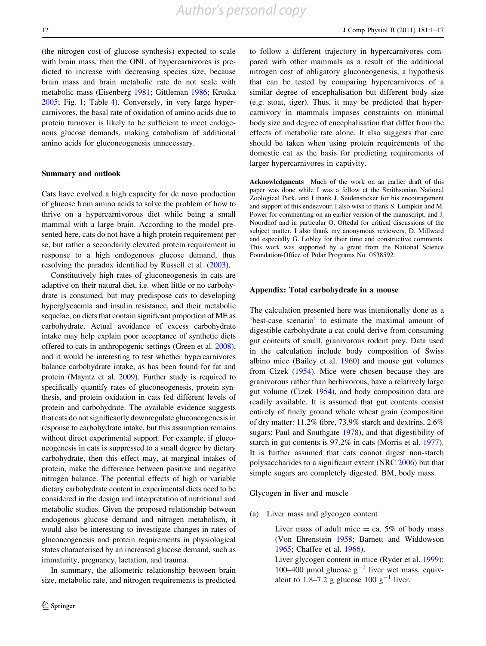*Author's personal copy*

<span id="page-11-0"></span>(the nitrogen cost of glucose synthesis) expected to scale with brain mass, then the ONL of hypercarnivores is predicted to increase with decreasing species size, because brain mass and brain metabolic rate do not scale with metabolic mass (Eisenberg [1981](#page-13-0); Gittleman [1986](#page-13-0); Kruska [2005;](#page-14-0) Fig. [1](#page-8-0); Table [4\)](#page-7-0). Conversely, in very large hypercarnivores, the basal rate of oxidation of amino acids due to protein turnover is likely to be sufficient to meet endogenous glucose demands, making catabolism of additional amino acids for gluconeogenesis unnecessary.

#### Summary and outlook

Cats have evolved a high capacity for de novo production of glucose from amino acids to solve the problem of how to thrive on a hypercarnivorous diet while being a small mammal with a large brain. According to the model presented here, cats do not have a high protein requirement per se, but rather a secondarily elevated protein requirement in response to a high endogenous glucose demand, thus resolving the paradox identified by Russell et al. ([2003\)](#page-15-0).

Constitutively high rates of gluconeogenesis in cats are adaptive on their natural diet, i.e. when little or no carbohydrate is consumed, but may predispose cats to developing hyperglycaemia and insulin resistance, and their metabolic sequelae, on diets that contain significant proportion of ME as carbohydrate. Actual avoidance of excess carbohydrate intake may help explain poor acceptance of synthetic diets offered to cats in anthropogenic settings (Green et al. [2008](#page-13-0)), and it would be interesting to test whether hypercarnivores balance carbohydrate intake, as has been found for fat and protein (Mayntz et al. [2009](#page-15-0)). Further study is required to specifically quantify rates of gluconeogenesis, protein synthesis, and protein oxidation in cats fed different levels of protein and carbohydrate. The available evidence suggests that cats do not significantly downregulate gluconeogenesis in response to carbohydrate intake, but this assumption remains without direct experimental support. For example, if gluconeogenesis in cats is suppressed to a small degree by dietary carbohydrate, then this effect may, at marginal intakes of protein, make the difference between positive and negative nitrogen balance. The potential effects of high or variable dietary carbohydrate content in experimental diets need to be considered in the design and interpretation of nutritional and metabolic studies. Given the proposed relationship between endogenous glucose demand and nitrogen metabolism, it would also be interesting to investigate changes in rates of gluconeogenesis and protein requirements in physiological states characterised by an increased glucose demand, such as immaturity, pregnancy, lactation, and trauma.

In summary, the allometric relationship between brain size, metabolic rate, and nitrogen requirements is predicted to follow a different trajectory in hypercarnivores compared with other mammals as a result of the additional nitrogen cost of obligatory gluconeogenesis, a hypothesis that can be tested by comparing hypercarnivores of a similar degree of encephalisation but different body size (e.g. stoat, tiger). Thus, it may be predicted that hypercarnivory in mammals imposes constraints on minimal body size and degree of encephalisation that differ from the effects of metabolic rate alone. It also suggests that care should be taken when using protein requirements of the domestic cat as the basis for predicting requirements of larger hypercarnivores in captivity.

Acknowledgments Much of the work on an earlier draft of this paper was done while I was a fellow at the Smithsonian National Zoological Park, and I thank J. Seidensticker for his encouragement and support of this endeavour. I also wish to thank S. Lumpkin and M. Power for commenting on an earlier version of the manuscript, and J. Noordhof and in particular O. Oftedal for critical discussions of the subject matter. I also thank my anonymous reviewers, D. Millward and especially G. Lobley for their time and constructive comments. This work was supported by a grant from the National Science Foundation-Office of Polar Programs No. 0538592.

#### Appendix: Total carbohydrate in a mouse

The calculation presented here was intentionally done as a 'best-case scenario' to estimate the maximal amount of digestible carbohydrate a cat could derive from consuming gut contents of small, granivorous rodent prey. Data used in the calculation include body composition of Swiss albino mice (Bailey et al. [1960](#page-12-0)) and mouse gut volumes from Cizek ([1954\)](#page-13-0). Mice were chosen because they are granivorous rather than herbivorous, have a relatively large gut volume (Cizek [1954\)](#page-13-0), and body composition data are readily available. It is assumed that gut contents consist entirely of finely ground whole wheat grain (composition of dry matter: 11.2% fibre, 73.9% starch and dextrins, 2.6% sugars: Paul and Southgate [1978\)](#page-15-0), and that digestibility of starch in gut contents is 97.2% in cats (Morris et al. [1977](#page-15-0)). It is further assumed that cats cannot digest non-starch polysaccharides to a significant extent (NRC [2006\)](#page-15-0) but that simple sugars are completely digested. BM, body mass.

Glycogen in liver and muscle

(a) Liver mass and glycogen content

Liver mass of adult mice  $=$  ca. 5% of body mass (Von Ehrenstein [1958](#page-16-0); Barnett and Widdowson [1965](#page-12-0); Chaffee et al. [1966](#page-13-0)).

Liver glycogen content in mice (Ryder et al. [1999](#page-15-0)): 100–400 µmol glucose  $g^{-1}$  liver wet mass, equivalent to 1.8–7.2 g glucose 100  $g^{-1}$  liver.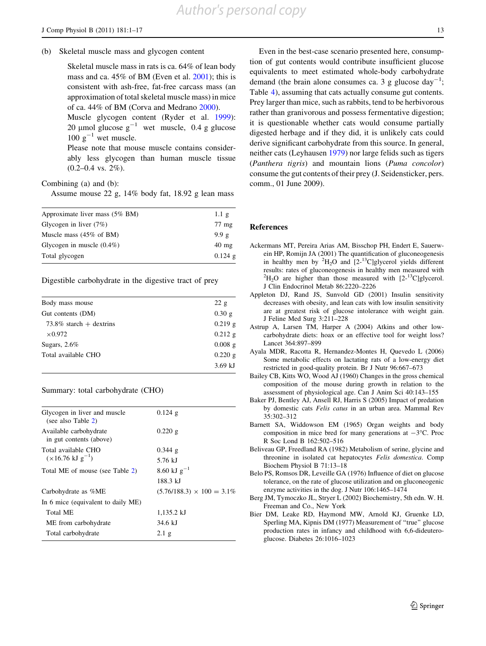## <span id="page-12-0"></span>(b) Skeletal muscle mass and glycogen content

Skeletal muscle mass in rats is ca. 64% of lean body mass and ca. 45% of BM (Even et al. [2001](#page-13-0)); this is consistent with ash-free, fat-free carcass mass (an approximation of total skeletal muscle mass) in mice of ca. 44% of BM (Corva and Medrano [2000](#page-13-0)).

Muscle glycogen content (Ryder et al. [1999](#page-15-0)): 20 µmol glucose  $g^{-1}$  wet muscle, 0.4 g glucose  $100 \text{ g}^{-1}$  wet muscle.

Please note that mouse muscle contains considerably less glycogen than human muscle tissue  $(0.2-0.4 \text{ vs. } 2\%)$ .

# Combining (a) and (b):

Assume mouse 22 g, 14% body fat, 18.92 g lean mass

| Approximate liver mass (5% BM)     | $1.1\text{ g}$  |
|------------------------------------|-----------------|
| Glycogen in liver $(7%)$           | $77 \text{ mg}$ |
| Muscle mass $(45\% \text{ of BM})$ | 9.9g            |
| Glycogen in muscle $(0.4\%)$       | $40 \text{ mg}$ |
| Total glycogen                     | $0.124$ g       |

Digestible carbohydrate in the digestive tract of prey

| Body mass mouse            | 22 g      |
|----------------------------|-----------|
| Gut contents (DM)          | 0.30g     |
| $73.8\%$ starch + dextrins | 0.219 g   |
| $\times$ 0.972             | $0.212$ g |
| Sugars, $2.6\%$            | $0.008$ g |
| Total available CHO        | 0.220 g   |
|                            | $3.69$ kJ |
|                            |           |

## Summary: total carbohydrate (CHO)

| Glycogen in liver and muscle<br>(see also Table 2) | $0.124$ g                         |
|----------------------------------------------------|-----------------------------------|
| Available carbohydrate<br>in gut contents (above)  | 0.220 g                           |
| Total available CHO                                | $0.344$ g                         |
| $(\times 16.76 \text{ kJ g}^{-1})$                 | 5.76 kJ                           |
| Total ME of mouse (see Table 2)                    | 8.60 kJ g <sup>-1</sup>           |
|                                                    | 188.3 kJ                          |
| Carbohydrate as %ME                                | $(5.76/188.3) \times 100 = 3.1\%$ |
| In 6 mice (equivalent to daily ME)                 |                                   |
| <b>Total ME</b>                                    | 1,135.2 kJ                        |
| ME from carbohydrate                               | 34.6 kJ                           |
| Total carbohydrate                                 | $2.1\text{ g}$                    |

Even in the best-case scenario presented here, consumption of gut contents would contribute insufficient glucose equivalents to meet estimated whole-body carbohydrate demand (the brain alone consumes ca. 3 g glucose day<sup>-1</sup>; Table [4](#page-7-0)), assuming that cats actually consume gut contents. Prey larger than mice, such as rabbits, tend to be herbivorous rather than granivorous and possess fermentative digestion; it is questionable whether cats would consume partially digested herbage and if they did, it is unlikely cats could derive significant carbohydrate from this source. In general, neither cats (Leyhausen [1979\)](#page-14-0) nor large felids such as tigers (Panthera tigris) and mountain lions (Puma concolor) consume the gut contents of their prey (J. Seidensticker, pers. comm., 01 June 2009).

#### References

- Ackermans MT, Pereira Arias AM, Bisschop PH, Endert E, Sauerwein HP, Romijn JA (2001) The quantification of gluconeogenesis in healthy men by  ${}^{2}H_{2}O$  and  $[2-{}^{13}C]$ glycerol yields different results: rates of gluconeogenesis in healthy men measured with  ${}^{2}H_{2}O$  are higher than those measured with  $[2-{}^{13}C]$ glycerol. J Clin Endocrinol Metab 86:2220–2226
- Appleton DJ, Rand JS, Sunvold GD (2001) Insulin sensitivity decreases with obesity, and lean cats with low insulin sensitivity are at greatest risk of glucose intolerance with weight gain. J Feline Med Surg 3:211–228
- Astrup A, Larsen TM, Harper A (2004) Atkins and other lowcarbohydrate diets: hoax or an effective tool for weight loss? Lancet 364:897–899
- Ayala MDR, Racotta R, Hernandez-Montes H, Quevedo L (2006) Some metabolic effects on lactating rats of a low-energy diet restricted in good-quality protein. Br J Nutr 96:667–673
- Bailey CB, Kitts WO, Wood AJ (1960) Changes in the gross chemical composition of the mouse during growth in relation to the assessment of physiological age. Can J Anim Sci 40:143–155
- Baker PJ, Bentley AJ, Ansell RJ, Harris S (2005) Impact of predation by domestic cats Felis catus in an urban area. Mammal Rev 35:302–312
- Barnett SA, Widdowson EM (1965) Organ weights and body composition in mice bred for many generations at  $-3^{\circ}$ C. Proc R Soc Lond B 162:502–516
- Beliveau GP, Freedland RA (1982) Metabolism of serine, glycine and threonine in isolated cat hepatocytes Felis domestica. Comp Biochem Physiol B 71:13–18
- Belo PS, Romsos DR, Leveille GA (1976) Influence of diet on glucose tolerance, on the rate of glucose utilization and on gluconeogenic enzyme activities in the dog. J Nutr 106:1465–1474
- Berg JM, Tymoczko JL, Stryer L (2002) Biochemistry, 5th edn. W. H. Freeman and Co., New York
- Bier DM, Leake RD, Haymond MW, Arnold KJ, Gruenke LD, Sperling MA, Kipnis DM (1977) Measurement of "true" glucose production rates in infancy and childhood with 6,6-dideuteroglucose. Diabetes 26:1016–1023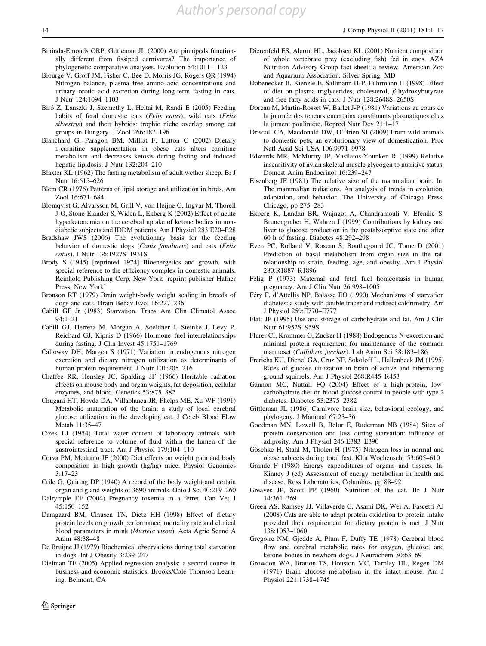- <span id="page-13-0"></span>Bininda-Emonds ORP, Gittleman JL (2000) Are pinnipeds functionally different from fissiped carnivores? The importance of phylogenetic comparative analyses. Evolution 54:1011–1123
- Biourge V, Groff JM, Fisher C, Bee D, Morris JG, Rogers QR (1994) Nitrogen balance, plasma free amino acid concentrations and urinary orotic acid excretion during long-term fasting in cats. J Nutr 124:1094–1103
- Biró Z, Lanszki J, Szemethy L, Heltai M, Randi E (2005) Feeding habits of feral domestic cats (Felis catus), wild cats (Felis silvestris) and their hybrids: trophic niche overlap among cat groups in Hungary. J Zool 266:187–196
- Blanchard G, Paragon BM, Milliat F, Lutton C (2002) Dietary L-carnitine supplementation in obese cats alters carnitine metabolism and decreases ketosis during fasting and induced hepatic lipidosis. J Nutr 132:204–210
- Blaxter KL (1962) The fasting metabolism of adult wether sheep. Br J Nutr 16:615–626
- Blem CR (1976) Patterns of lipid storage and utilization in birds. Am Zool 16:671–684
- Blomqvist G, Alvarsson M, Grill V, von Heijne G, Ingvar M, Thorell J-O, Stone-Elander S, Widen L, Ekberg K (2002) Effect of acute hyperketonemia on the cerebral uptake of ketone bodies in nondiabetic subjects and IDDM patients. Am J Physiol 283:E20–E28
- Bradshaw JWS (2006) The evolutionary basis for the feeding behavior of domestic dogs (Canis familiaris) and cats (Felis catus). J Nutr 136:1927S–1931S
- Brody S (1945) [reprinted 1974] Bioenergetics and growth, with special reference to the efficiency complex in domestic animals. Reinhold Publishing Corp, New York [reprint publisher Hafner Press, New York]
- Bronson RT (1979) Brain weight-body weight scaling in breeds of dogs and cats. Brain Behav Evol 16:227–236
- Cahill GF Jr (1983) Starvation. Trans Am Clin Climatol Assoc  $94.1 - 21$
- Cahill GJ, Herrera M, Morgan A, Soeldner J, Steinke J, Levy P, Reichard GJ, Kipnis D (1966) Hormone–fuel interrelationships during fasting. J Clin Invest 45:1751–1769
- Calloway DH, Margen S (1971) Variation in endogenous nitrogen excretion and dietary nitrogen utilization as determinants of human protein requirement. J Nutr 101:205–216
- Chaffee RR, Hensley JC, Spalding JF (1966) Heritable radiation effects on mouse body and organ weights, fat deposition, cellular enzymes, and blood. Genetics 53:875–882
- Chugani HT, Hovda DA, Villablanca JR, Phelps ME, Xu WF (1991) Metabolic maturation of the brain: a study of local cerebral glucose utilization in the developing cat. J Cereb Blood Flow Metab 11:35–47
- Cizek LJ (1954) Total water content of laboratory animals with special reference to volume of fluid within the lumen of the gastrointestinal tract. Am J Physiol 179:104–110
- Corva PM, Medrano JF (2000) Diet effects on weight gain and body composition in high growth (hg/hg) mice. Physiol Genomics 3:17–23
- Crile G, Quiring DP (1940) A record of the body weight and certain organ and gland weights of 3690 animals. Ohio J Sci 40:219–260
- Dalrymple EF (2004) Pregnancy toxemia in a ferret. Can Vet J 45:150–152
- Damgaard BM, Clausen TN, Dietz HH (1998) Effect of dietary protein levels on growth performance, mortality rate and clinical blood parameters in mink (Mustela vison). Acta Agric Scand A Anim 48:38–48
- De Bruijne JJ (1979) Biochemical observations during total starvation in dogs. Int J Obesity 3:239–247
- Dielman TE (2005) Applied regression analysis: a second course in business and economic statistics. Brooks/Cole Thomson Learning, Belmont, CA
- Dierenfeld ES, Alcorn HL, Jacobsen KL (2001) Nutrient composition of whole vertebrate prey (excluding fish) fed in zoos. AZA Nutrition Advisory Group fact sheet: a review. American Zoo and Aquarium Association, Silver Spring, MD
- Dobenecker B, Kienzle E, Sallmann H-P, Fuhrmann H (1998) Effect of diet on plasma triglycerides, cholesterol,  $\beta$ -hydroxybutyrate and free fatty acids in cats. J Nutr 128:2648S–2650S
- Doreau M, Martin-Rosset W, Barlet J-P (1981) Variations au cours de la journée des teneurs encertains constituants plasmatiques chez la jument pouliniére. Reprod Nutr Dev 21:1–17
- Driscoll CA, Macdonald DW, O'Brien SJ (2009) From wild animals to domestic pets, an evolutionary view of domestication. Proc Natl Acad Sci USA 106:9971–9978
- Edwards MR, McMurtry JP, Vasilatos-Younken R (1999) Relative insensitivity of avian skeletal muscle glycogen to nutritive status. Domest Anim Endocrinol 16:239–247
- Eisenberg JF (1981) The relative size of the mammalian brain. In: The mammalian radiations. An analysis of trends in evolution, adaptation, and behavior. The University of Chicago Press, Chicago, pp 275–283
- Ekberg K, Landau BR, Wajngot A, Chandramouli V, Efendic S, Brunengraber H, Wahren J (1999) Contributions by kidney and liver to glucose production in the postabsorptive state and after 60 h of fasting. Diabetes 48:292–298
- Even PC, Rolland V, Roseau S, Bouthegourd JC, Tome D (2001) Prediction of basal metabolism from organ size in the rat: relationship to strain, feeding, age, and obesity. Am J Physiol 280:R1887–R1896
- Felig P (1973) Maternal and fetal fuel homeostasis in human pregnancy. Am J Clin Nutr 26:998–1005
- Féry F, d'Attellis NP, Balasse EO (1990) Mechanisms of starvation diabetes: a study with double tracer and indirect calorimetry. Am J Physiol 259:E770–E777
- Flatt JP (1995) Use and storage of carbohydrate and fat. Am J Clin Nutr 61:952S–959S
- Flurer CI, Krommer G, Zucker H (1988) Endogenous N-excretion and minimal protein requirement for maintenance of the common marmoset (Callithrix jacchus). Lab Anim Sci 38:183–186
- Frerichs KU, Dienel GA, Cruz NF, Sokoloff L, Hallenbeck JM (1995) Rates of glucose utilization in brain of active and hibernating ground squirrels. Am J Physiol 268:R445–R453
- Gannon MC, Nuttall FQ (2004) Effect of a high-protein, lowcarbohydrate diet on blood glucose control in people with type 2 diabetes. Diabetes 53:2375–2382
- Gittleman JL (1986) Carnivore brain size, behavioral ecology, and phylogeny. J Mammal 67:23–36
- Goodman MN, Lowell B, Belur E, Ruderman NB (1984) Sites of protein conservation and loss during starvation: influence of adiposity. Am J Physiol 246:E383–E390
- Göschke H, Stahl M, Tholen H (1975) Nitrogen loss in normal and obese subjects during total fast. Klin Wochenschr 53:605–610
- Grande F (1980) Energy expenditures of organs and tissues. In: Kinney J (ed) Assessment of energy metabolism in health and disease. Ross Laboratories, Columbus, pp 88–92
- Greaves JP, Scott PP (1960) Nutrition of the cat. Br J Nutr 14:361–369
- Green AS, Ramsey JJ, Villaverde C, Asami DK, Wei A, Fascetti AJ (2008) Cats are able to adapt protein oxidation to protein intake provided their requirement for dietary protein is met. J Nutr 138:1053–1060
- Gregoire NM, Gjedde A, Plum F, Duffy TE (1978) Cerebral blood flow and cerebral metabolic rates for oxygen, glucose, and ketone bodies in newborn dogs. J Neurochem 30:63–69
- Growdon WA, Bratton TS, Houston MC, Tarpley HL, Regen DM (1971) Brain glucose metabolism in the intact mouse. Am J Physiol 221:1738–1745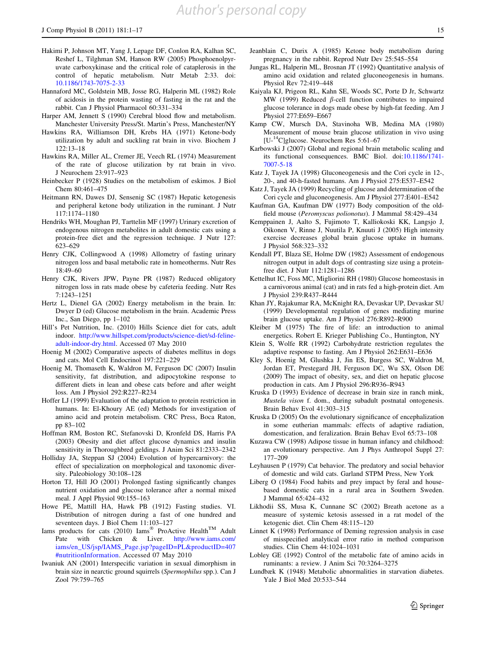- <span id="page-14-0"></span>Hakimi P, Johnson MT, Yang J, Lepage DF, Conlon RA, Kalhan SC, Reshef L, Tilghman SM, Hanson RW (2005) Phosphoenolpyruvate carboxykinase and the critical role of cataplerosis in the control of hepatic metabolism. Nutr Metab 2:33. doi: [10.1186/1743-7075-2-33](http://dx.doi.org/10.1186/1743-7075-2-33)
- Hannaford MC, Goldstein MB, Josse RG, Halperin ML (1982) Role of acidosis in the protein wasting of fasting in the rat and the rabbit. Can J Physiol Pharmacol 60:331–334
- Harper AM, Jennett S (1990) Cerebral blood flow and metabolism. Manchester University Press/St. Martin's Press, Manchester/NY
- Hawkins RA, Williamson DH, Krebs HA (1971) Ketone-body utilization by adult and suckling rat brain in vivo. Biochem J 122:13–18
- Hawkins RA, Miller AL, Cremer JE, Veech RL (1974) Measurement of the rate of glucose utilization by rat brain in vivo. J Neurochem 23:917–923
- Heinbecker P (1928) Studies on the metabolism of eskimos. J Biol Chem 80:461–475
- Heitmann RN, Dawes DJ, Sensenig SC (1987) Hepatic ketogenesis and peripheral ketone body utilization in the ruminant. J Nutr 117:1174–1180
- Hendriks WH, Moughan PJ, Tarttelin MF (1997) Urinary excretion of endogenous nitrogen metabolites in adult domestic cats using a protein-free diet and the regression technique. J Nutr 127: 623–629
- Henry CJK, Collingwood A (1998) Allometry of fasting urinary nitrogen loss and basal metabolic rate in homeotherms. Nutr Res 18:49–60
- Henry CJK, Rivers JPW, Payne PR (1987) Reduced obligatory nitrogen loss in rats made obese by cafeteria feeding. Nutr Res 7:1243–1251
- Hertz L, Dienel GA (2002) Energy metabolism in the brain. In: Dwyer D (ed) Glucose metabolism in the brain. Academic Press Inc., San Diego, pp 1–102
- Hill's Pet Nutrition, Inc. (2010) Hills Science diet for cats, adult indoor. [http://www.hillspet.com/products/science-diet/sd-feline](http://www.hillspet.com/products/science-diet/sd-feline-adult-indoor-dry.html)[adult-indoor-dry.html.](http://www.hillspet.com/products/science-diet/sd-feline-adult-indoor-dry.html) Accessed 07 May 2010
- Hoenig M (2002) Comparative aspects of diabetes mellitus in dogs and cats. Mol Cell Endocrinol 197:221–229
- Hoenig M, Thomaseth K, Waldron M, Ferguson DC (2007) Insulin sensitivity, fat distribution, and adipocytokine response to different diets in lean and obese cats before and after weight loss. Am J Physiol 292:R227–R234
- Hoffer LJ (1999) Evaluation of the adaptation to protein restriction in humans. In: El-Khoury AE (ed) Methods for investigation of amino acid and protein metabolism. CRC Press, Boca Raton, pp 83–102
- Hoffman RM, Boston RC, Stefanovski D, Kronfeld DS, Harris PA (2003) Obesity and diet affect glucose dynamics and insulin sensitivity in Thoroughbred geldings. J Anim Sci 81:2333–2342
- Holliday JA, Steppan SJ (2004) Evolution of hypercarnivory: the effect of specialization on morphological and taxonomic diversity. Paleobiology 30:108–128
- Horton TJ, Hill JO (2001) Prolonged fasting significantly changes nutrient oxidation and glucose tolerance after a normal mixed meal. J Appl Physiol 90:155–163
- Howe PE, Mattill HA, Hawk PB (1912) Fasting studies. VI. Distribution of nitrogen during a fast of one hundred and seventeen days. J Biol Chem 11:103–127
- Iams products for cats (2010) Iams<sup>®</sup> ProActive Health<sup>TM</sup> Adult Pate with Chicken & Liver. [http://www.iams.com/](http://www.iams.com/iams/en_US/jsp/IAMS_Page.jsp?pageID=PL&productID=407#nutritionInformation) [iams/en\\_US/jsp/IAMS\\_Page.jsp?pageID=PL&productID=407](http://www.iams.com/iams/en_US/jsp/IAMS_Page.jsp?pageID=PL&productID=407#nutritionInformation) [#nutritionInformation.](http://www.iams.com/iams/en_US/jsp/IAMS_Page.jsp?pageID=PL&productID=407#nutritionInformation) Accessed 07 May 2010
- Iwaniuk AN (2001) Interspecific variation in sexual dimorphism in brain size in nearctic ground squirrels (Spermophilus spp.). Can J Zool 79:759–765
- Jeanblain C, Durix A (1985) Ketone body metabolism during pregnancy in the rabbit. Reprod Nutr Dev 25:545–554
- Jungas RL, Halperin ML, Brosnan JT (1992) Quantitative analysis of amino acid oxidation and related gluconeogenesis in humans. Physiol Rev 72:419–448
- Kaiyala KJ, Prigeon RL, Kahn SE, Woods SC, Porte D Jr, Schwartz MW (1999) Reduced  $\beta$ -cell function contributes to impaired glucose tolerance in dogs made obese by high-fat feeding. Am J Physiol 277:E659–E667
- Kamp CW, Mursch DA, Stavinoha WB, Medina MA (1980) Measurement of mouse brain glucose utilization in vivo using [U-14C]glucose. Neurochem Res 5:61–67
- Karbowski J (2007) Global and regional brain metabolic scaling and its functional consequences. BMC Biol. doi:[10.1186/1741-](http://dx.doi.org/10.1186/1741-7007-5-18) [7007-5-18](http://dx.doi.org/10.1186/1741-7007-5-18)
- Katz J, Tayek JA (1998) Gluconeogenesis and the Cori cycle in 12-, 20-, and 40-h-fasted humans. Am J Physiol 275:E537–E542
- Katz J, Tayek JA (1999) Recycling of glucose and determination of the Cori cycle and gluconeogenesis. Am J Physiol 277:E401–E542
- Kaufman GA, Kaufman DW (1977) Body composition of the oldfield mouse (Peromyscus polionotus). J Mammal 58:429–434
- Kemppainen J, Aalto S, Fujimoto T, Kalliokoski KK, Langsjo J, Oikonen V, Rinne J, Nuutila P, Knuuti J (2005) High intensity exercise decreases global brain glucose uptake in humans. J Physiol 568:323–332
- Kendall PT, Blaza SE, Holme DW (1982) Assessment of endogenous nitrogen output in adult dogs of contrasting size using a proteinfree diet. J Nutr 112:1281–1286
- Kettelhut IC, Foss MC, Migliorini RH (1980) Glucose homeostasis in a carnivorous animal (cat) and in rats fed a high-protein diet. Am J Physiol 239:R437–R444
- Khan JY, Rajakumar RA, McKnight RA, Devaskar UP, Devaskar SU (1999) Developmental regulation of genes mediating murine brain glucose uptake. Am J Physiol 276:R892–R900
- Kleiber M (1975) The fire of life: an introduction to animal energetics. Robert E. Krieger Publishing Co., Huntington, NY
- Klein S, Wolfe RR (1992) Carbohydrate restriction regulates the adaptive response to fasting. Am J Physiol 262:E631–E636
- Kley S, Hoenig M, Glushka J, Jin ES, Burgess SC, Waldron M, Jordan ET, Prestegard JH, Ferguson DC, Wu SX, Olson DE (2009) The impact of obesity, sex, and diet on hepatic glucose production in cats. Am J Physiol 296:R936–R943
- Kruska D (1993) Evidence of decrease in brain size in ranch mink, Mustela vison f. dom., during subadult postnatal ontogenesis. Brain Behav Evol 41:303–315
- Kruska D (2005) On the evolutionary significance of encephalization in some eutherian mammals: effects of adaptive radiation, domestication, and feralization. Brain Behav Evol 65:73–108
- Kuzawa CW (1998) Adipose tissue in human infancy and childhood: an evolutionary perspective. Am J Phys Anthropol Suppl 27: 177–209
- Leyhausen P (1979) Cat behavior. The predatory and social behavior of domestic and wild cats. Garland STPM Press, New York
- Liberg O (1984) Food habits and prey impact by feral and housebased domestic cats in a rural area in Southern Sweden. J Mammal 65:424–432
- Likhodii SS, Musa K, Cunnane SC (2002) Breath acetone as a measure of systemic ketosis assessed in a rat model of the ketogenic diet. Clin Chem 48:115–120
- Linnet K (1998) Performance of Deming regression analysis in case of misspecified analytical error ratio in method comparison studies. Clin Chem 44:1024–1031
- Lobley GE (1992) Control of the metabolic fate of amino acids in ruminants: a review. J Anim Sci 70:3264–3275
- Lundbæk K (1948) Metabolic abnormalities in starvation diabetes. Yale J Biol Med 20:533–544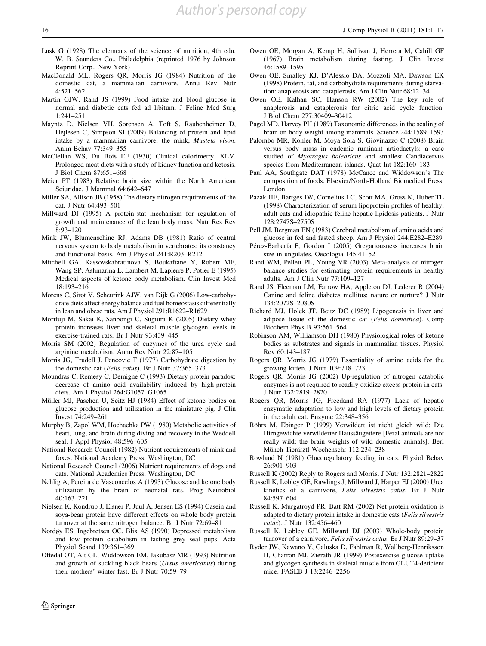- <span id="page-15-0"></span>Lusk G (1928) The elements of the science of nutrition, 4th edn. W. B. Saunders Co., Philadelphia (reprinted 1976 by Johnson Reprint Corp., New York)
- MacDonald ML, Rogers QR, Morris JG (1984) Nutrition of the domestic cat, a mammalian carnivore. Annu Rev Nutr 4:521–562
- Martin GJW, Rand JS (1999) Food intake and blood glucose in normal and diabetic cats fed ad libitum. J Feline Med Surg 1:241–251
- Mayntz D, Nielsen VH, Sorensen A, Toft S, Raubenheimer D, Hejlesen C, Simpson SJ (2009) Balancing of protein and lipid intake by a mammalian carnivore, the mink, Mustela vison. Anim Behav 77:349–355
- McClellan WS, Du Bois EF (1930) Clinical calorimetry. XLV. Prolonged meat diets with a study of kidney function and ketosis. J Biol Chem 87:651–668
- Meier PT (1983) Relative brain size within the North American Sciuridae. J Mammal 64:642–647
- Miller SA, Allison JB (1958) The dietary nitrogen requirements of the cat. J Nutr 64:493–501
- Millward DJ (1995) A protein-stat mechanism for regulation of growth and maintenance of the lean body mass. Nutr Res Rev 8:93–120
- Mink JW, Blumenschine RJ, Adams DB (1981) Ratio of central nervous system to body metabolism in vertebrates: its constancy and functional basis. Am J Physiol 241:R203–R212
- Mitchell GA, Kassovskabratinova S, Boukaftane Y, Robert MF, Wang SP, Ashmarina L, Lambert M, Lapierre P, Potier E (1995) Medical aspects of ketone body metabolism. Clin Invest Med 18:193–216
- Morens C, Sirot V, Scheurink AJW, van Dijk G (2006) Low-carbohydrate diets affect energy balance and fuel homeostasis differentially in lean and obese rats. Am J Physiol 291:R1622–R1629
- Morifuji M, Sakai K, Sanbongi C, Sugiura K (2005) Dietary whey protein increases liver and skeletal muscle glycogen levels in exercise-trained rats. Br J Nutr 93:439–445
- Morris SM (2002) Regulation of enzymes of the urea cycle and arginine metabolism. Annu Rev Nutr 22:87–105
- Morris JG, Trudell J, Pencovic T (1977) Carbohydrate digestion by the domestic cat (Felis catus). Br J Nutr 37:365–373
- Moundras C, Remesy C, Demigne C (1993) Dietary protein paradox: decrease of amino acid availability induced by high-protein diets. Am J Physiol 264:G1057–G1065
- Müller MJ, Paschen U, Seitz HJ (1984) Effect of ketone bodies on glucose production and utilization in the miniature pig. J Clin Invest 74:249–261
- Murphy B, Zapol WM, Hochachka PW (1980) Metabolic activities of heart, lung, and brain during diving and recovery in the Weddell seal. J Appl Physiol 48:596–605
- National Research Council (1982) Nutrient requirements of mink and foxes. National Academy Press, Washington, DC
- National Research Council (2006) Nutrient requirements of dogs and cats. National Academies Press, Washington, DC
- Nehlig A, Pereira de Vasconcelos A (1993) Glucose and ketone body utilization by the brain of neonatal rats. Prog Neurobiol 40:163–221
- Nielsen K, Kondrup J, Elsner P, Juul A, Jensen ES (1994) Casein and soya-bean protein have different effects on whole body protein turnover at the same nitrogen balance. Br J Nutr 72:69–81
- Nordøy ES, Ingebretsen OC, Blix AS (1990) Depressed metabolism and low protein catabolism in fasting grey seal pups. Acta Physiol Scand 139:361–369
- Oftedal OT, Alt GL, Widdowson EM, Jakubasz MR (1993) Nutrition and growth of suckling black bears (Ursus americanus) during their mothers' winter fast. Br J Nutr 70:59–79
- Owen OE, Morgan A, Kemp H, Sullivan J, Herrera M, Cahill GF (1967) Brain metabolism during fasting. J Clin Invest 46:1589–1595
- Owen OE, Smalley KJ, D'Alessio DA, Mozzoli MA, Dawson EK (1998) Protein, fat, and carbohydrate requirements during starvation: anaplerosis and cataplerosis. Am J Clin Nutr 68:12–34
- Owen OE, Kalhan SC, Hanson RW (2002) The key role of anaplerosis and cataplerosis for citric acid cycle function. J Biol Chem 277:30409–30412
- Pagel MD, Harvey PH (1989) Taxonomic differences in the scaling of brain on body weight among mammals. Science 244:1589–1593
- Palombo MR, Kohler M, Moya Sola S, Giovinazzo C (2008) Brain versus body mass in endemic ruminant artiodactyls: a case studied of Myotragus balearicus and smallest Candiacervus species from Mediterranean islands. Quat Int 182:160–183
- Paul AA, Southgate DAT (1978) McCance and Widdowson's The composition of foods. Elsevier/North-Holland Biomedical Press, London
- Pazak HE, Bartges JW, Cornelius LC, Scott MA, Gross K, Huber TL (1998) Characterization of serum lipoprotein profiles of healthy, adult cats and idiopathic feline hepatic lipidosis patients. J Nutr 128:2747S–2750S
- Pell JM, Bergman EN (1983) Cerebral metabolism of amino acids and glucose in fed and fasted sheep. Am J Physiol 244:E282–E289
- Pérez-Barbería F, Gordon I (2005) Gregariousness increases brain size in ungulates. Oecologia 145:41–52
- Rand WM, Pellett PL, Young VR (2003) Meta-analysis of nitrogen balance studies for estimating protein requirements in healthy adults. Am J Clin Nutr 77:109–127
- Rand JS, Fleeman LM, Farrow HA, Appleton DJ, Lederer R (2004) Canine and feline diabetes mellitus: nature or nurture? J Nutr 134:2072S–2080S
- Richard MJ, Holck JT, Beitz DC (1989) Lipogenesis in liver and adipose tissue of the domestic cat (Felis domestica). Comp Biochem Phys B 93:561–564
- Robinson AM, Williamson DH (1980) Physiological roles of ketone bodies as substrates and signals in mammalian tissues. Physiol Rev 60:143–187
- Rogers QR, Morris JG (1979) Essentiality of amino acids for the growing kitten. J Nutr 109:718–723
- Rogers QR, Morris JG (2002) Up-regulation of nitrogen catabolic enzymes is not required to readily oxidize excess protein in cats. J Nutr 132:2819–2820
- Rogers QR, Morris JG, Freedand RA (1977) Lack of hepatic enzymatic adaptation to low and high levels of dietary protein in the adult cat. Enzyme 22:348–356
- Röhrs M, Ebinger P (1999) Verwildert ist nicht gleich wild: Die Hirngewichte verwilderter Haussäugetiere [Feral animals are not really wild: the brain weights of wild domestic animals]. Berl Münch Tierärztl Wochenschr 112:234-238
- Rowland N (1981) Glucoregulatory feeding in cats. Physiol Behav 26:901–903
- Russell K (2002) Reply to Rogers and Morris. J Nutr 132:2821–2822
- Russell K, Lobley GE, Rawlings J, Millward J, Harper EJ (2000) Urea kinetics of a carnivore, Felis silvestris catus. Br J Nutr 84:597–604
- Russell K, Murgatroyd PR, Batt RM (2002) Net protein oxidation is adapted to dietary protein intake in domestic cats (Felis silvestris catus). J Nutr 132:456–460
- Russell K, Lobley GE, Millward DJ (2003) Whole-body protein turnover of a carnivore, Felis silvestris catus. Br J Nutr 89:29–37
- Ryder JW, Kawano Y, Galuska D, Fahlman R, Wallberg-Henriksson H, Charron MJ, Zierath JR (1999) Postexercise glucose uptake and glycogen synthesis in skeletal muscle from GLUT4-deficient mice. FASEB J 13:2246–2256